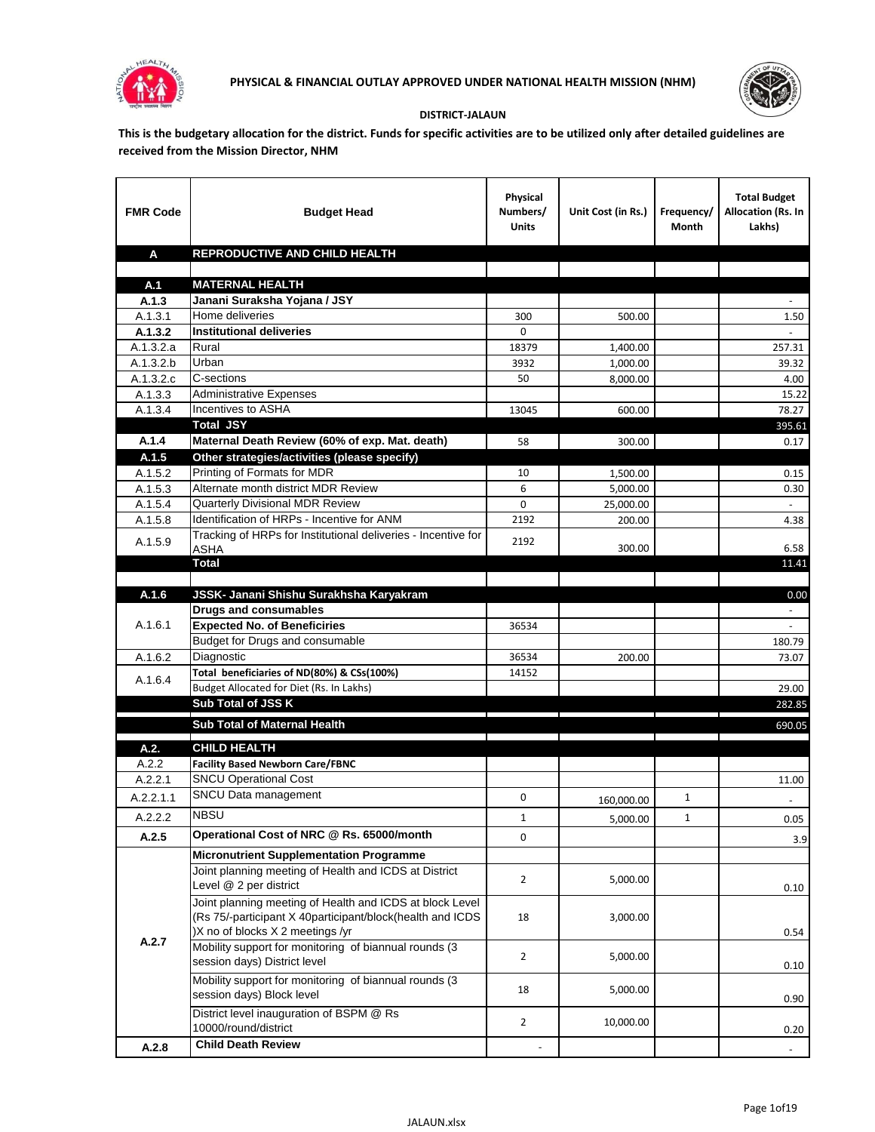



## **DISTRICT-JALAUN**

**This is the budgetary allocation for the district. Funds for specific activities are to be utilized only after detailed guidelines are received from the Mission Director, NHM**

| <b>FMR Code</b>    | <b>Budget Head</b>                                                                                                                                        | Physical<br>Numbers/<br><b>Units</b> | Unit Cost (in Rs.)  | Frequency/<br>Month | <b>Total Budget</b><br>Allocation (Rs. In<br>Lakhs) |
|--------------------|-----------------------------------------------------------------------------------------------------------------------------------------------------------|--------------------------------------|---------------------|---------------------|-----------------------------------------------------|
| A                  | <b>REPRODUCTIVE AND CHILD HEALTH</b>                                                                                                                      |                                      |                     |                     |                                                     |
| A.1                | <b>MATERNAL HEALTH</b>                                                                                                                                    |                                      |                     |                     |                                                     |
| A.1.3              | Janani Suraksha Yojana / JSY                                                                                                                              |                                      |                     |                     |                                                     |
| A.1.3.1            | Home deliveries                                                                                                                                           | 300                                  | 500.00              |                     | 1.50                                                |
| A.1.3.2            | <b>Institutional deliveries</b>                                                                                                                           | $\Omega$                             |                     |                     |                                                     |
| A.1.3.2.a          | Rural                                                                                                                                                     | 18379                                | 1,400.00            |                     | 257.31                                              |
| A.1.3.2.b          | Urban                                                                                                                                                     | 3932                                 | 1,000.00            |                     | 39.32                                               |
| A.1.3.2.c          | C-sections                                                                                                                                                | 50                                   | 8.000.00            |                     | 4.00                                                |
| A.1.3.3            | <b>Administrative Expenses</b>                                                                                                                            |                                      |                     |                     | 15.22                                               |
| A.1.3.4            | Incentives to ASHA                                                                                                                                        | 13045                                | 600.00              |                     | 78.27                                               |
|                    | <b>Total JSY</b>                                                                                                                                          |                                      |                     |                     | 395.61                                              |
| A.1.4              | Maternal Death Review (60% of exp. Mat. death)                                                                                                            | 58                                   | 300.00              |                     | 0.17                                                |
| A.1.5              | Other strategies/activities (please specify)                                                                                                              |                                      |                     |                     |                                                     |
| A.1.5.2            | Printing of Formats for MDR<br>Alternate month district MDR Review                                                                                        | 10                                   | 1,500.00            |                     | 0.15                                                |
| A.1.5.3            | <b>Quarterly Divisional MDR Review</b>                                                                                                                    | 6<br>0                               | 5,000.00            |                     | 0.30<br>$\sim$                                      |
| A.1.5.4<br>A.1.5.8 | Identification of HRPs - Incentive for ANM                                                                                                                | 2192                                 | 25,000.00<br>200.00 |                     | 4.38                                                |
|                    | Tracking of HRPs for Institutional deliveries - Incentive for                                                                                             |                                      |                     |                     |                                                     |
| A.1.5.9            | <b>ASHA</b>                                                                                                                                               | 2192                                 | 300.00              |                     | 6.58                                                |
|                    | <b>Total</b>                                                                                                                                              |                                      |                     |                     | 11.41                                               |
|                    |                                                                                                                                                           |                                      |                     |                     |                                                     |
| A.1.6              | JSSK- Janani Shishu Surakhsha Karyakram                                                                                                                   |                                      |                     |                     | 0.00                                                |
|                    | <b>Drugs and consumables</b>                                                                                                                              |                                      |                     |                     | $\sim$                                              |
| A.1.6.1            | <b>Expected No. of Beneficiries</b>                                                                                                                       | 36534                                |                     |                     |                                                     |
|                    | Budget for Drugs and consumable                                                                                                                           |                                      |                     |                     | 180.79                                              |
| A.1.6.2            | Diagnostic                                                                                                                                                | 36534                                | 200.00              |                     | 73.07                                               |
| A.1.6.4            | Total beneficiaries of ND(80%) & CSs(100%)                                                                                                                | 14152                                |                     |                     |                                                     |
|                    | Budget Allocated for Diet (Rs. In Lakhs)<br>Sub Total of JSS K                                                                                            |                                      |                     |                     | 29.00<br>282.85                                     |
|                    |                                                                                                                                                           |                                      |                     |                     |                                                     |
|                    | Sub Total of Maternal Health                                                                                                                              |                                      |                     |                     | 690.05                                              |
| A.2.               | <b>CHILD HEALTH</b>                                                                                                                                       |                                      |                     |                     |                                                     |
| A.2.2              | <b>Facility Based Newborn Care/FBNC</b>                                                                                                                   |                                      |                     |                     |                                                     |
| A.2.2.1            | <b>SNCU Operational Cost</b>                                                                                                                              |                                      |                     |                     | 11.00                                               |
| A.2.2.1.1          | SNCU Data management                                                                                                                                      | 0                                    | 160,000.00          | 1                   |                                                     |
| A.2.2.2            | <b>NBSU</b>                                                                                                                                               | $\mathbf 1$                          | 5,000.00            | 1                   | 0.05                                                |
| A.2.5              | Operational Cost of NRC @ Rs. 65000/month                                                                                                                 | 0                                    |                     |                     | 3.9                                                 |
|                    | <b>Micronutrient Supplementation Programme</b>                                                                                                            |                                      |                     |                     |                                                     |
|                    | Joint planning meeting of Health and ICDS at District                                                                                                     |                                      |                     |                     |                                                     |
|                    | Level @ 2 per district                                                                                                                                    | $\overline{2}$                       | 5,000.00            |                     | 0.10                                                |
|                    | Joint planning meeting of Health and ICDS at block Level<br>(Rs 75/-participant X 40participant/block(health and ICDS<br>)X no of blocks X 2 meetings /yr | 18                                   | 3,000.00            |                     | 0.54                                                |
| A.2.7              | Mobility support for monitoring of biannual rounds (3<br>session days) District level                                                                     | $\overline{2}$                       | 5,000.00            |                     | 0.10                                                |
|                    | Mobility support for monitoring of biannual rounds (3<br>session days) Block level                                                                        | 18                                   | 5,000.00            |                     | 0.90                                                |
|                    | District level inauguration of BSPM @ Rs<br>10000/round/district                                                                                          | $\overline{2}$                       | 10,000.00           |                     | 0.20                                                |
| A.2.8              | <b>Child Death Review</b>                                                                                                                                 |                                      |                     |                     |                                                     |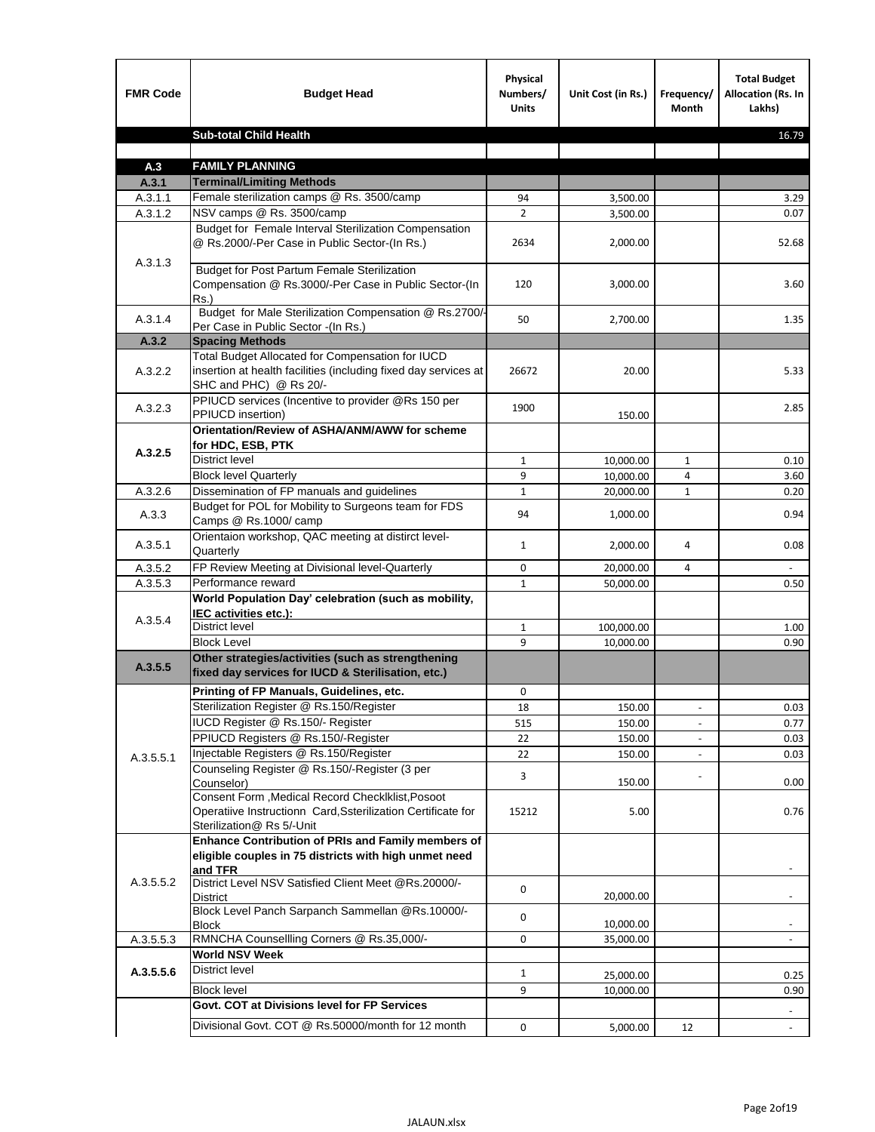| <b>FMR Code</b>    | <b>Budget Head</b>                                                                                                                             | Physical<br>Numbers/<br><b>Units</b> | Unit Cost (in Rs.)   | Frequency/<br>Month      | <b>Total Budget</b><br><b>Allocation (Rs. In</b><br>Lakhs) |
|--------------------|------------------------------------------------------------------------------------------------------------------------------------------------|--------------------------------------|----------------------|--------------------------|------------------------------------------------------------|
|                    | <b>Sub-total Child Health</b>                                                                                                                  |                                      |                      |                          | 16.79                                                      |
|                    |                                                                                                                                                |                                      |                      |                          |                                                            |
| A.3                | <b>FAMILY PLANNING</b>                                                                                                                         |                                      |                      |                          |                                                            |
| A.3.1              | <b>Terminal/Limiting Methods</b><br>Female sterilization camps @ Rs. 3500/camp                                                                 | 94                                   |                      |                          | 3.29                                                       |
| A.3.1.1<br>A.3.1.2 | NSV camps @ Rs. 3500/camp                                                                                                                      | $\overline{2}$                       | 3,500.00<br>3,500.00 |                          | 0.07                                                       |
|                    | Budget for Female Interval Sterilization Compensation<br>@ Rs.2000/-Per Case in Public Sector-(In Rs.)                                         | 2634                                 | 2,000.00             |                          | 52.68                                                      |
| A.3.1.3            | <b>Budget for Post Partum Female Sterilization</b><br>Compensation @ Rs.3000/-Per Case in Public Sector-(In<br>$Rs.$ )                         | 120                                  | 3,000.00             |                          | 3.60                                                       |
| A.3.1.4            | Budget for Male Sterilization Compensation @ Rs.2700/-<br>Per Case in Public Sector -(In Rs.)                                                  | 50                                   | 2,700.00             |                          | 1.35                                                       |
| A.3.2              | <b>Spacing Methods</b>                                                                                                                         |                                      |                      |                          |                                                            |
| A.3.2.2            | Total Budget Allocated for Compensation for IUCD<br>insertion at health facilities (including fixed day services at<br>SHC and PHC) @ Rs 20/-  | 26672                                | 20.00                |                          | 5.33                                                       |
| A.3.2.3            | PPIUCD services (Incentive to provider @Rs 150 per<br>PPIUCD insertion)                                                                        | 1900                                 | 150.00               |                          | 2.85                                                       |
|                    | Orientation/Review of ASHA/ANM/AWW for scheme<br>for HDC, ESB, PTK                                                                             |                                      |                      |                          |                                                            |
| A.3.2.5            | <b>District level</b>                                                                                                                          | $\mathbf{1}$                         | 10,000.00            | $\mathbf{1}$             | 0.10                                                       |
|                    | <b>Block level Quarterly</b>                                                                                                                   | 9                                    | 10,000.00            | 4                        | 3.60                                                       |
| A.3.2.6            | Dissemination of FP manuals and guidelines                                                                                                     | $\mathbf{1}$                         | 20,000.00            | $\mathbf{1}$             | 0.20                                                       |
| A.3.3              | Budget for POL for Mobility to Surgeons team for FDS<br>Camps @ Rs.1000/camp                                                                   | 94                                   | 1,000.00             |                          | 0.94                                                       |
| A.3.5.1            | Orientaion workshop, QAC meeting at distirct level-<br>Quarterly                                                                               | $\mathbf{1}$                         | 2,000.00             | 4                        | 0.08                                                       |
| A.3.5.2            | FP Review Meeting at Divisional level-Quarterly                                                                                                | 0                                    | 20,000.00            | 4                        |                                                            |
| A.3.5.3            | Performance reward                                                                                                                             | $\mathbf{1}$                         | 50,000.00            |                          | 0.50                                                       |
| A.3.5.4            | World Population Day' celebration (such as mobility,<br>IEC activities etc.):                                                                  |                                      |                      |                          |                                                            |
|                    | District level                                                                                                                                 | $\mathbf{1}$                         | 100,000.00           |                          | 1.00                                                       |
|                    | <b>Block Level</b>                                                                                                                             | 9                                    | 10.000.00            |                          | 0.90                                                       |
| A.3.5.5            | Other strategies/activities (such as strengthening<br>fixed day services for IUCD & Sterilisation, etc.)                                       |                                      |                      |                          |                                                            |
|                    | Printing of FP Manuals, Guidelines, etc.                                                                                                       | 0                                    |                      |                          |                                                            |
|                    | Sterilization Register @ Rs.150/Register                                                                                                       | 18                                   | 150.00               | $\overline{\phantom{a}}$ | 0.03                                                       |
|                    | IUCD Register @ Rs.150/- Register                                                                                                              | 515                                  | 150.00               |                          | 0.77                                                       |
|                    | PPIUCD Registers @ Rs.150/-Register                                                                                                            | 22                                   | 150.00               |                          | 0.03                                                       |
| A.3.5.5.1          | Injectable Registers @ Rs.150/Register                                                                                                         | 22                                   | 150.00               |                          | 0.03                                                       |
|                    | Counseling Register @ Rs.150/-Register (3 per<br>Counselor)                                                                                    | 3                                    | 150.00               |                          | 0.00                                                       |
|                    | Consent Form , Medical Record CheckIklist, Posoot<br>Operatiive Instructionn Card, Ssterilization Certificate for<br>Sterilization@ Rs 5/-Unit | 15212                                | 5.00                 |                          | 0.76                                                       |
|                    | Enhance Contribution of PRIs and Family members of<br>eligible couples in 75 districts with high unmet need<br>and TFR                         |                                      |                      |                          |                                                            |
| A.3.5.5.2          | District Level NSV Satisfied Client Meet @Rs.20000/-<br><b>District</b>                                                                        | 0                                    | 20,000.00            |                          |                                                            |
|                    | Block Level Panch Sarpanch Sammellan @Rs.10000/-<br>Block                                                                                      | 0                                    | 10,000.00            |                          |                                                            |
| A.3.5.5.3          | RMNCHA Counsellling Corners @ Rs.35,000/-                                                                                                      | 0                                    | 35,000.00            |                          |                                                            |
|                    | <b>World NSV Week</b>                                                                                                                          |                                      |                      |                          |                                                            |
| A.3.5.5.6          | <b>District level</b>                                                                                                                          | $\mathbf{1}$                         | 25,000.00            |                          | 0.25                                                       |
|                    | <b>Block level</b>                                                                                                                             | 9                                    | 10,000.00            |                          | 0.90                                                       |
|                    | Govt. COT at Divisions level for FP Services                                                                                                   |                                      |                      |                          |                                                            |
|                    | Divisional Govt. COT @ Rs.50000/month for 12 month                                                                                             | 0                                    | 5,000.00             | 12                       | $\blacksquare$                                             |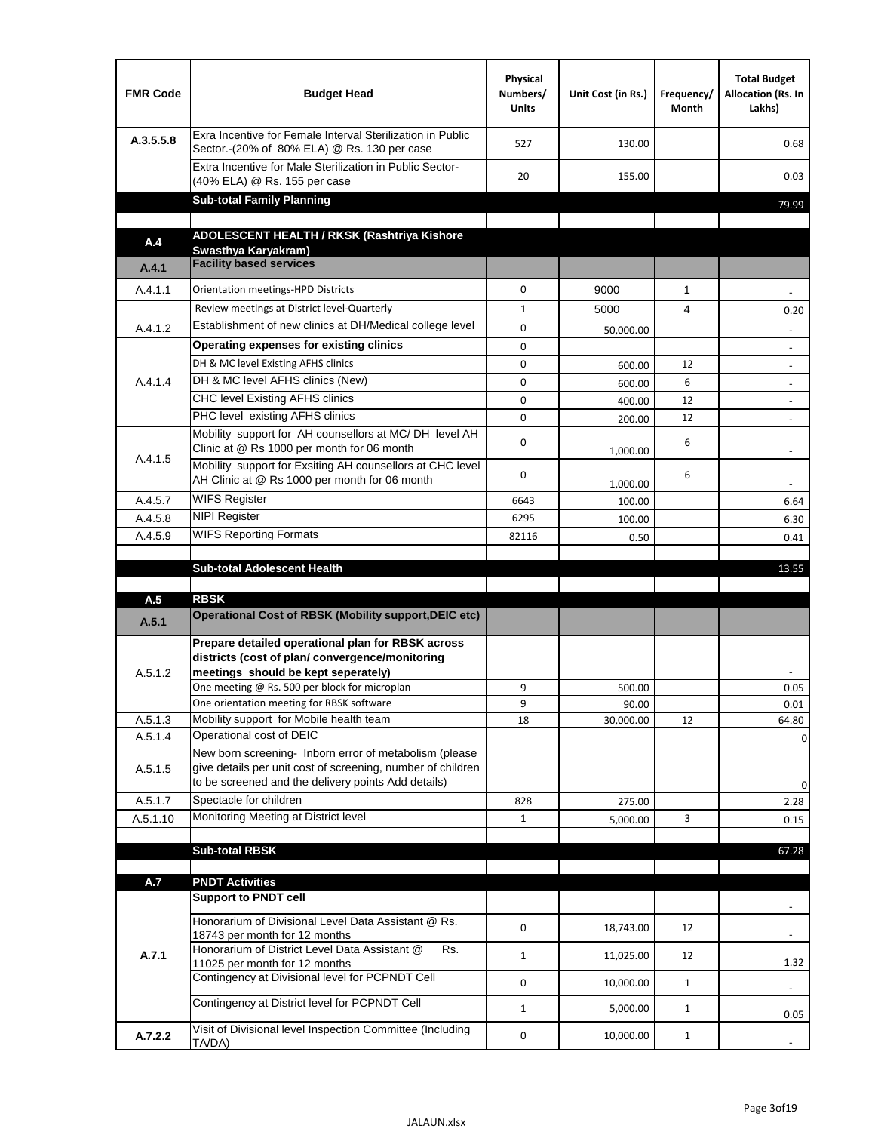| <b>FMR Code</b> | <b>Budget Head</b>                                                                                                                                                                          | Physical<br>Numbers/<br><b>Units</b> | Unit Cost (in Rs.) | Frequency/<br>Month | <b>Total Budget</b><br>Allocation (Rs. In<br>Lakhs) |
|-----------------|---------------------------------------------------------------------------------------------------------------------------------------------------------------------------------------------|--------------------------------------|--------------------|---------------------|-----------------------------------------------------|
| A.3.5.5.8       | Exra Incentive for Female Interval Sterilization in Public<br>Sector.-(20% of 80% ELA) @ Rs. 130 per case                                                                                   | 527                                  | 130.00             |                     | 0.68                                                |
|                 | Extra Incentive for Male Sterilization in Public Sector-<br>(40% ELA) @ Rs. 155 per case                                                                                                    | 20                                   | 155.00             |                     | 0.03                                                |
|                 | <b>Sub-total Family Planning</b>                                                                                                                                                            |                                      |                    |                     | 79.99                                               |
|                 | ADOLESCENT HEALTH / RKSK (Rashtriya Kishore                                                                                                                                                 |                                      |                    |                     |                                                     |
| A.4             | Swasthya Karyakram)                                                                                                                                                                         |                                      |                    |                     |                                                     |
| A.4.1           | <b>Facility based services</b>                                                                                                                                                              |                                      |                    |                     |                                                     |
| A.4.1.1         | Orientation meetings-HPD Districts                                                                                                                                                          | $\Omega$                             | 9000               | $\mathbf{1}$        |                                                     |
|                 | Review meetings at District level-Quarterly                                                                                                                                                 | $\mathbf{1}$                         | 5000               | 4                   | 0.20                                                |
| A.4.1.2         | Establishment of new clinics at DH/Medical college level                                                                                                                                    | $\Omega$                             | 50,000.00          |                     |                                                     |
|                 | Operating expenses for existing clinics                                                                                                                                                     | 0                                    |                    |                     |                                                     |
|                 | DH & MC level Existing AFHS clinics                                                                                                                                                         | 0                                    | 600.00             | 12                  |                                                     |
| A.4.1.4         | DH & MC level AFHS clinics (New)                                                                                                                                                            | 0                                    | 600.00             | 6                   | $\overline{\phantom{a}}$                            |
|                 | CHC level Existing AFHS clinics                                                                                                                                                             | 0                                    | 400.00             | 12                  | $\overline{\phantom{a}}$                            |
|                 | PHC level existing AFHS clinics                                                                                                                                                             | $\Omega$                             | 200.00             | 12                  | $\blacksquare$                                      |
| A.4.1.5         | Mobility support for AH counsellors at MC/DH level AH<br>Clinic at @ Rs 1000 per month for 06 month                                                                                         | 0                                    | 1,000.00           | 6                   |                                                     |
|                 | Mobility support for Exsiting AH counsellors at CHC level<br>AH Clinic at @ Rs 1000 per month for 06 month                                                                                  | 0                                    | 1,000.00           | 6                   |                                                     |
| A.4.5.7         | <b>WIFS Register</b>                                                                                                                                                                        | 6643                                 | 100.00             |                     | 6.64                                                |
| A.4.5.8         | <b>NIPI Register</b>                                                                                                                                                                        | 6295                                 | 100.00             |                     | 6.30                                                |
| A.4.5.9         | <b>WIFS Reporting Formats</b>                                                                                                                                                               | 82116                                | 0.50               |                     | 0.41                                                |
|                 | <b>Sub-total Adolescent Health</b>                                                                                                                                                          |                                      |                    |                     | 13.55                                               |
| A.5             | <b>RBSK</b><br><b>Operational Cost of RBSK (Mobility support, DEIC etc)</b>                                                                                                                 |                                      |                    |                     |                                                     |
| A.5.1           |                                                                                                                                                                                             |                                      |                    |                     |                                                     |
| A.5.1.2         | Prepare detailed operational plan for RBSK across<br>districts (cost of plan/convergence/monitoring<br>meetings should be kept seperately)<br>One meeting @ Rs. 500 per block for microplan | 9                                    | 500.00             |                     | 0.05                                                |
| A.5.1.3         | One orientation meeting for RBSK software<br>Mobility support for Mobile health team                                                                                                        | 9<br>18                              | 90.00<br>30,000.00 | 12                  | 0.01<br>64.80                                       |
| A.5.1.4         | Operational cost of DEIC                                                                                                                                                                    |                                      |                    |                     | 0                                                   |
| A.5.1.5         | New born screening- Inborn error of metabolism (please<br>give details per unit cost of screening, number of children<br>to be screened and the delivery points Add details)                |                                      |                    |                     | 0                                                   |
| A.5.1.7         | Spectacle for children                                                                                                                                                                      | 828                                  | 275.00             |                     | 2.28                                                |
| A.5.1.10        | Monitoring Meeting at District level                                                                                                                                                        | $\mathbf{1}$                         | 5,000.00           | 3                   | 0.15                                                |
|                 |                                                                                                                                                                                             |                                      |                    |                     |                                                     |
|                 | <b>Sub-total RBSK</b>                                                                                                                                                                       |                                      |                    |                     | 67.28                                               |
| A.7             | <b>PNDT Activities</b>                                                                                                                                                                      |                                      |                    |                     |                                                     |
|                 | <b>Support to PNDT cell</b>                                                                                                                                                                 |                                      |                    |                     |                                                     |
|                 | Honorarium of Divisional Level Data Assistant @ Rs.<br>18743 per month for 12 months                                                                                                        | 0                                    | 18,743.00          | 12                  |                                                     |
| A.7.1           | Honorarium of District Level Data Assistant @<br>Rs.<br>11025 per month for 12 months                                                                                                       | $\mathbf{1}$                         | 11,025.00          | 12                  | 1.32                                                |
|                 | Contingency at Divisional level for PCPNDT Cell                                                                                                                                             | 0                                    | 10,000.00          | $\mathbf{1}$        | $\overline{\phantom{a}}$                            |
|                 | Contingency at District level for PCPNDT Cell                                                                                                                                               | $\mathbf{1}$                         | 5,000.00           | $\mathbf{1}$        | 0.05                                                |
| A.7.2.2         | Visit of Divisional level Inspection Committee (Including<br>TA/DA)                                                                                                                         | 0                                    | 10,000.00          | $\mathbf{1}$        |                                                     |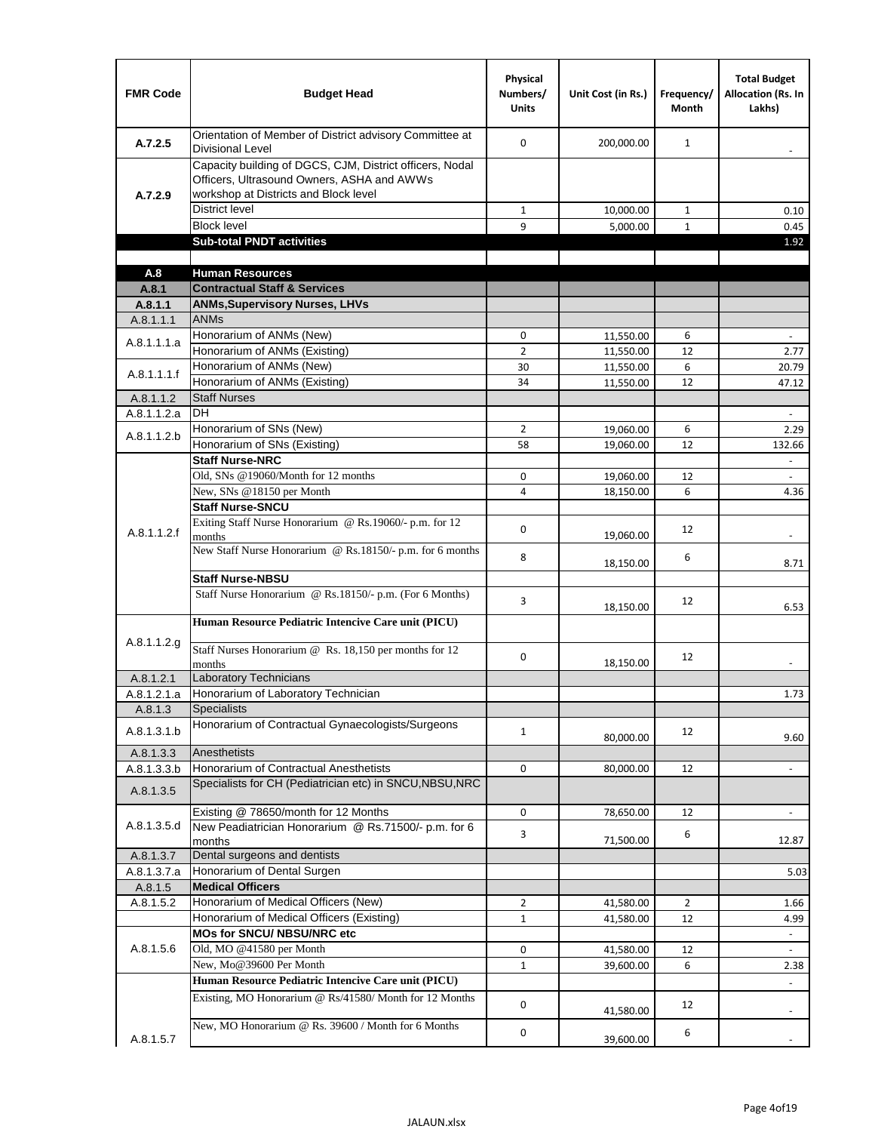| <b>FMR Code</b>      | <b>Budget Head</b>                                                                                                                              | Physical<br>Numbers/<br><b>Units</b> | Unit Cost (in Rs.)     | Frequency/<br>Month | <b>Total Budget</b><br>Allocation (Rs. In<br>Lakhs) |
|----------------------|-------------------------------------------------------------------------------------------------------------------------------------------------|--------------------------------------|------------------------|---------------------|-----------------------------------------------------|
| A.7.2.5              | Orientation of Member of District advisory Committee at<br>Divisional Level                                                                     | $\Omega$                             | 200,000.00             | $\mathbf{1}$        | $\overline{\phantom{a}}$                            |
| A.7.2.9              | Capacity building of DGCS, CJM, District officers, Nodal<br>Officers, Ultrasound Owners, ASHA and AWWs<br>workshop at Districts and Block level |                                      |                        |                     |                                                     |
|                      | <b>District level</b>                                                                                                                           | 1                                    | 10,000.00              | $\mathbf{1}$        | 0.10                                                |
|                      | <b>Block level</b>                                                                                                                              | 9                                    | 5,000.00               | $\mathbf{1}$        | 0.45                                                |
|                      | <b>Sub-total PNDT activities</b>                                                                                                                |                                      |                        |                     | 1.92                                                |
|                      |                                                                                                                                                 |                                      |                        |                     |                                                     |
| A.8                  | <b>Human Resources</b>                                                                                                                          |                                      |                        |                     |                                                     |
| A.8.1                | <b>Contractual Staff &amp; Services</b>                                                                                                         |                                      |                        |                     |                                                     |
| A.8.1.1<br>A.8.1.1.1 | <b>ANMs, Supervisory Nurses, LHVs</b><br><b>ANMs</b>                                                                                            |                                      |                        |                     |                                                     |
|                      | Honorarium of ANMs (New)                                                                                                                        | 0                                    |                        | 6                   |                                                     |
| A.8.1.1.1.a          | Honorarium of ANMs (Existing)                                                                                                                   | $\overline{2}$                       | 11,550.00<br>11,550.00 | 12                  | $\overline{\phantom{a}}$<br>2.77                    |
|                      | Honorarium of ANMs (New)                                                                                                                        | 30                                   | 11,550.00              | 6                   | 20.79                                               |
| A.8.1.1.1.f          | Honorarium of ANMs (Existing)                                                                                                                   | 34                                   | 11,550.00              | 12                  | 47.12                                               |
| A.8.1.1.2            | <b>Staff Nurses</b>                                                                                                                             |                                      |                        |                     |                                                     |
| A.8.1.1.2.a          | <b>DH</b>                                                                                                                                       |                                      |                        |                     | $\blacksquare$                                      |
|                      | Honorarium of SNs (New)                                                                                                                         | $\overline{2}$                       | 19,060.00              | 6                   | 2.29                                                |
| A.8.1.1.2.b          | Honorarium of SNs (Existing)                                                                                                                    | 58                                   | 19,060.00              | 12                  | 132.66                                              |
|                      | <b>Staff Nurse-NRC</b>                                                                                                                          |                                      |                        |                     | $\Box$                                              |
|                      | Old, SNs @19060/Month for 12 months                                                                                                             | 0                                    | 19,060.00              | 12                  | $\overline{\phantom{a}}$                            |
|                      | New, SNs @18150 per Month                                                                                                                       | 4                                    | 18,150.00              | 6                   | 4.36                                                |
|                      | <b>Staff Nurse-SNCU</b>                                                                                                                         |                                      |                        |                     |                                                     |
| A.8.1.1.2.f          | Exiting Staff Nurse Honorarium @ Rs.19060/- p.m. for 12<br>months                                                                               | 0                                    | 19,060.00              | 12                  | $\overline{\phantom{a}}$                            |
|                      | New Staff Nurse Honorarium @ Rs.18150/- p.m. for 6 months                                                                                       | 8                                    | 18,150.00              | 6                   | 8.71                                                |
|                      | <b>Staff Nurse-NBSU</b>                                                                                                                         |                                      |                        |                     |                                                     |
|                      | Staff Nurse Honorarium @ Rs.18150/- p.m. (For 6 Months)                                                                                         | 3                                    | 18,150.00              | 12                  | 6.53                                                |
|                      | Human Resource Pediatric Intencive Care unit (PICU)                                                                                             |                                      |                        |                     |                                                     |
| A.8.1.1.2.g          | Staff Nurses Honorarium @ $\overline{Rs. 18,150}$ per months for 12<br>months                                                                   | 0                                    | 18,150.00              | 12                  |                                                     |
| A.8.1.2.1            | Laboratory Technicians                                                                                                                          |                                      |                        |                     |                                                     |
| A.8.1.2.1.a          | Honorarium of Laboratory Technician                                                                                                             |                                      |                        |                     | 1.73                                                |
| A.8.1.3              | <b>Specialists</b>                                                                                                                              |                                      |                        |                     |                                                     |
| A.8.1.3.1.b          | Honorarium of Contractual Gynaecologists/Surgeons                                                                                               | $\mathbf{1}$                         | 80,000.00              | 12                  | 9.60                                                |
| A.8.1.3.3            | Anesthetists                                                                                                                                    |                                      |                        |                     |                                                     |
| A.8.1.3.3.b          | Honorarium of Contractual Anesthetists                                                                                                          | 0                                    | 80,000.00              | 12                  | $\overline{\phantom{a}}$                            |
| A.8.1.3.5            | Specialists for CH (Pediatrician etc) in SNCU, NBSU, NRC                                                                                        |                                      |                        |                     |                                                     |
|                      | Existing @ 78650/month for 12 Months                                                                                                            | 0                                    | 78,650.00              | 12                  | $\Box$                                              |
| A.8.1.3.5.d          | New Peadiatrician Honorarium @ Rs.71500/- p.m. for 6<br>months                                                                                  | 3                                    | 71,500.00              | 6                   | 12.87                                               |
| A.8.1.3.7            | Dental surgeons and dentists                                                                                                                    |                                      |                        |                     |                                                     |
| A.8.1.3.7.a          | Honorarium of Dental Surgen                                                                                                                     |                                      |                        |                     | 5.03                                                |
| A.8.1.5              | <b>Medical Officers</b>                                                                                                                         |                                      |                        |                     |                                                     |
| A.8.1.5.2            | Honorarium of Medical Officers (New)                                                                                                            | $\overline{2}$                       | 41,580.00              | $\overline{2}$      | 1.66                                                |
|                      | Honorarium of Medical Officers (Existing)                                                                                                       | $\mathbf{1}$                         | 41,580.00              | 12                  | 4.99                                                |
|                      | MOs for SNCU/ NBSU/NRC etc                                                                                                                      |                                      |                        |                     |                                                     |
| A.8.1.5.6            | Old, MO @41580 per Month<br>New, Mo@39600 Per Month                                                                                             | 0                                    | 41,580.00              | 12                  | $\blacksquare$                                      |
|                      | Human Resource Pediatric Intencive Care unit (PICU)                                                                                             | $\mathbf{1}$                         | 39,600.00              | 6                   | 2.38                                                |
|                      |                                                                                                                                                 |                                      |                        |                     |                                                     |
|                      | Existing, MO Honorarium @ Rs/41580/ Month for 12 Months<br>New, MO Honorarium @ Rs. 39600 / Month for 6 Months                                  | $\mathbf 0$                          | 41,580.00              | 12                  |                                                     |
| A.8.1.5.7            |                                                                                                                                                 | 0                                    | 39,600.00              | 6                   |                                                     |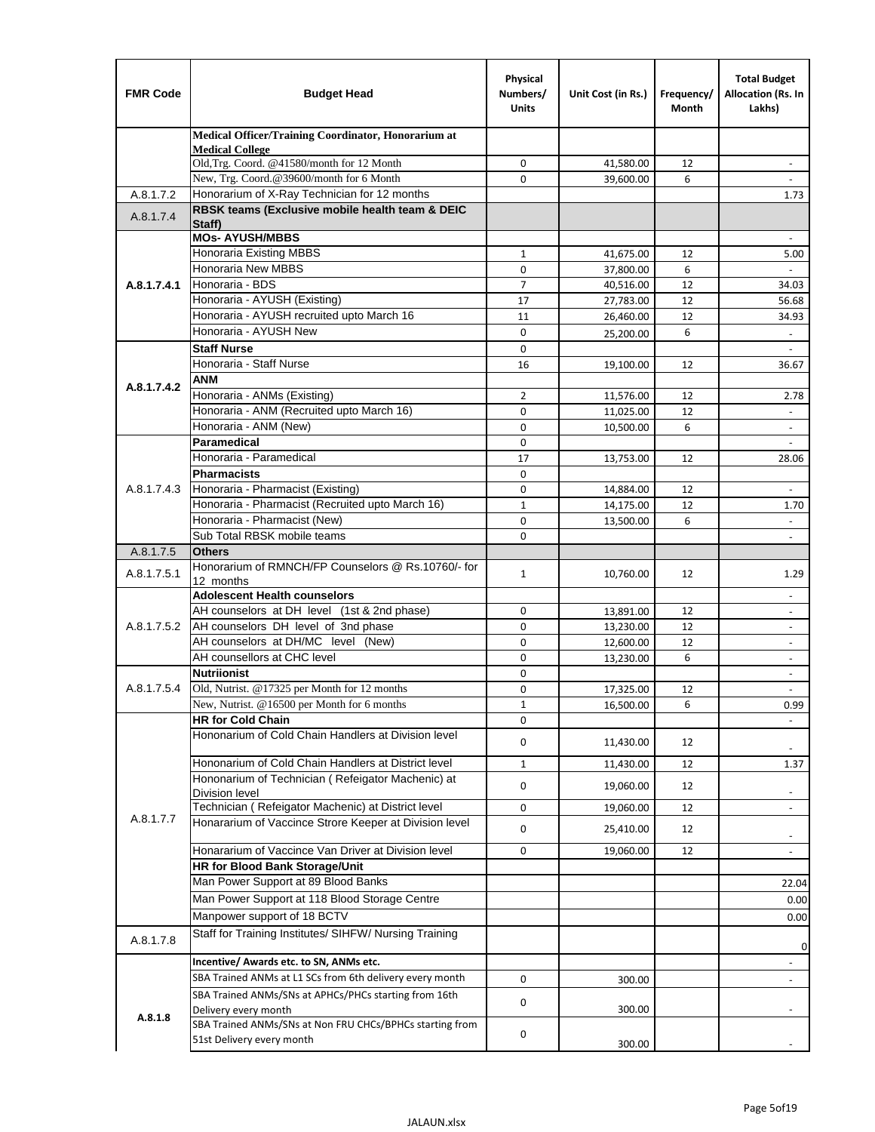| <b>FMR Code</b> | <b>Budget Head</b>                                                                                       | Physical<br>Numbers/<br><b>Units</b> | Unit Cost (in Rs.) | Frequency/<br>Month | <b>Total Budget</b><br>Allocation (Rs. In<br>Lakhs)  |
|-----------------|----------------------------------------------------------------------------------------------------------|--------------------------------------|--------------------|---------------------|------------------------------------------------------|
|                 | Medical Officer/Training Coordinator, Honorarium at                                                      |                                      |                    |                     |                                                      |
|                 | <b>Medical College</b><br>Old, Trg. Coord. @41580/month for 12 Month                                     | $\mathbf 0$                          | 41,580.00          | 12                  | $\overline{\phantom{a}}$                             |
|                 | New, Trg. Coord.@39600/month for 6 Month                                                                 | $\Omega$                             | 39,600.00          | 6                   |                                                      |
| A.8.1.7.2       | Honorarium of X-Ray Technician for 12 months                                                             |                                      |                    |                     | 1.73                                                 |
| A.8.1.7.4       | RBSK teams (Exclusive mobile health team & DEIC<br>Staff)                                                |                                      |                    |                     |                                                      |
|                 | <b>MOs- AYUSH/MBBS</b>                                                                                   |                                      |                    |                     |                                                      |
|                 | <b>Honoraria Existing MBBS</b>                                                                           | $\mathbf{1}$                         | 41,675.00          | 12                  | 5.00                                                 |
|                 | Honoraria New MBBS                                                                                       | 0                                    | 37,800.00          | 6                   | $\blacksquare$                                       |
| A.8.1.7.4.1     | Honoraria - BDS                                                                                          | $\overline{7}$                       | 40,516.00          | 12                  | 34.03                                                |
|                 | Honoraria - AYUSH (Existing)                                                                             | 17                                   | 27,783.00          | 12                  | 56.68                                                |
|                 | Honoraria - AYUSH recruited upto March 16                                                                | 11                                   | 26,460.00          | 12                  | 34.93                                                |
|                 | Honoraria - AYUSH New                                                                                    | $\mathbf 0$                          | 25,200.00          | 6                   | $\overline{\phantom{a}}$                             |
|                 | <b>Staff Nurse</b>                                                                                       | $\Omega$                             |                    |                     |                                                      |
|                 | Honoraria - Staff Nurse                                                                                  | 16                                   | 19,100.00          | 12                  | 36.67                                                |
| A.8.1.7.4.2     | <b>ANM</b>                                                                                               |                                      |                    |                     |                                                      |
|                 | Honoraria - ANMs (Existing)<br>Honoraria - ANM (Recruited upto March 16)                                 | 2                                    | 11,576.00          | 12                  | 2.78                                                 |
|                 | Honoraria - ANM (New)                                                                                    | $\mathbf 0$<br>0                     | 11,025.00          | 12<br>6             | $\overline{\phantom{a}}$                             |
|                 | Paramedical                                                                                              | $\mathbf 0$                          | 10,500.00          |                     | $\blacksquare$                                       |
|                 | Honoraria - Paramedical                                                                                  | 17                                   | 13,753.00          | 12                  | 28.06                                                |
|                 | <b>Pharmacists</b>                                                                                       | $\mathbf 0$                          |                    |                     |                                                      |
| A.8.1.7.4.3     | Honoraria - Pharmacist (Existing)                                                                        | $\mathbf 0$                          | 14,884.00          | 12                  | $\overline{\phantom{a}}$                             |
|                 | Honoraria - Pharmacist (Recruited upto March 16)                                                         | $\mathbf{1}$                         | 14,175.00          | 12                  | 1.70                                                 |
|                 | Honoraria - Pharmacist (New)                                                                             | 0                                    | 13,500.00          | 6                   | ÷,                                                   |
|                 | Sub Total RBSK mobile teams                                                                              | $\Omega$                             |                    |                     | $\overline{\phantom{a}}$                             |
| A.8.1.7.5       | <b>Others</b>                                                                                            |                                      |                    |                     |                                                      |
| A.8.1.7.5.1     | Honorarium of RMNCH/FP Counselors @ Rs.10760/- for                                                       | $\mathbf{1}$                         | 10,760.00          | 12                  | 1.29                                                 |
|                 | 12 months                                                                                                |                                      |                    |                     |                                                      |
|                 | <b>Adolescent Health counselors</b>                                                                      |                                      |                    |                     | $\blacksquare$                                       |
|                 | AH counselors at DH level (1st & 2nd phase)                                                              | 0                                    | 13,891.00          | 12                  |                                                      |
| A.8.1.7.5.2     | AH counselors DH level of 3nd phase                                                                      | $\mathbf 0$                          | 13,230.00          | 12                  | $\overline{\phantom{a}}$                             |
|                 | AH counselors at DH/MC level (New)<br>AH counsellors at CHC level                                        | 0                                    | 12,600.00          | 12                  | $\blacksquare$                                       |
|                 | <b>Nutriionist</b>                                                                                       | $\mathbf 0$                          | 13,230.00          | 6                   | $\overline{\phantom{a}}$                             |
| A.8.1.7.5.4     | Old, Nutrist. @17325 per Month for 12 months                                                             | 0<br>0                               | 17,325.00          | 12                  | $\overline{\phantom{a}}$<br>$\overline{\phantom{a}}$ |
|                 | New, Nutrist. $@16500$ per Month for 6 months                                                            | 1                                    | 16,500.00          | 6                   | 0.99                                                 |
|                 | <b>HR for Cold Chain</b>                                                                                 | 0                                    |                    |                     |                                                      |
|                 | Hononarium of Cold Chain Handlers at Division level                                                      | 0                                    | 11,430.00          | 12                  |                                                      |
|                 |                                                                                                          |                                      |                    |                     |                                                      |
|                 | Hononarium of Cold Chain Handlers at District level<br>Hononarium of Technician (Refeigator Machenic) at | $\mathbf{1}$                         | 11,430.00          | 12                  | 1.37                                                 |
|                 | <b>Division level</b>                                                                                    | 0                                    | 19,060.00          | 12                  | $\overline{\phantom{a}}$                             |
|                 | Technician (Refeigator Machenic) at District level                                                       | 0                                    | 19,060.00          | 12                  | $\blacksquare$                                       |
| A.8.1.7.7       | Honararium of Vaccince Strore Keeper at Division level                                                   | 0                                    | 25,410.00          | 12                  |                                                      |
|                 | Honararium of Vaccince Van Driver at Division level                                                      | 0                                    | 19,060.00          | 12                  | $\overline{\phantom{a}}$<br>$\overline{\phantom{a}}$ |
|                 | <b>HR for Blood Bank Storage/Unit</b>                                                                    |                                      |                    |                     |                                                      |
|                 | Man Power Support at 89 Blood Banks                                                                      |                                      |                    |                     | 22.04                                                |
|                 | Man Power Support at 118 Blood Storage Centre                                                            |                                      |                    |                     |                                                      |
|                 | Manpower support of 18 BCTV                                                                              |                                      |                    |                     | 0.00<br>0.00                                         |
|                 | Staff for Training Institutes/ SIHFW/ Nursing Training                                                   |                                      |                    |                     |                                                      |
| A.8.1.7.8       |                                                                                                          |                                      |                    |                     | 0                                                    |
|                 | Incentive/ Awards etc. to SN, ANMs etc.                                                                  |                                      |                    |                     | $\overline{\phantom{a}}$                             |
|                 | SBA Trained ANMs at L1 SCs from 6th delivery every month                                                 | 0                                    | 300.00             |                     | $\blacksquare$                                       |
|                 | SBA Trained ANMs/SNs at APHCs/PHCs starting from 16th<br>Delivery every month                            | 0                                    | 300.00             |                     |                                                      |
| A.8.1.8         | SBA Trained ANMs/SNs at Non FRU CHCs/BPHCs starting from                                                 | 0                                    |                    |                     |                                                      |
|                 | 51st Delivery every month                                                                                |                                      | 300.00             |                     |                                                      |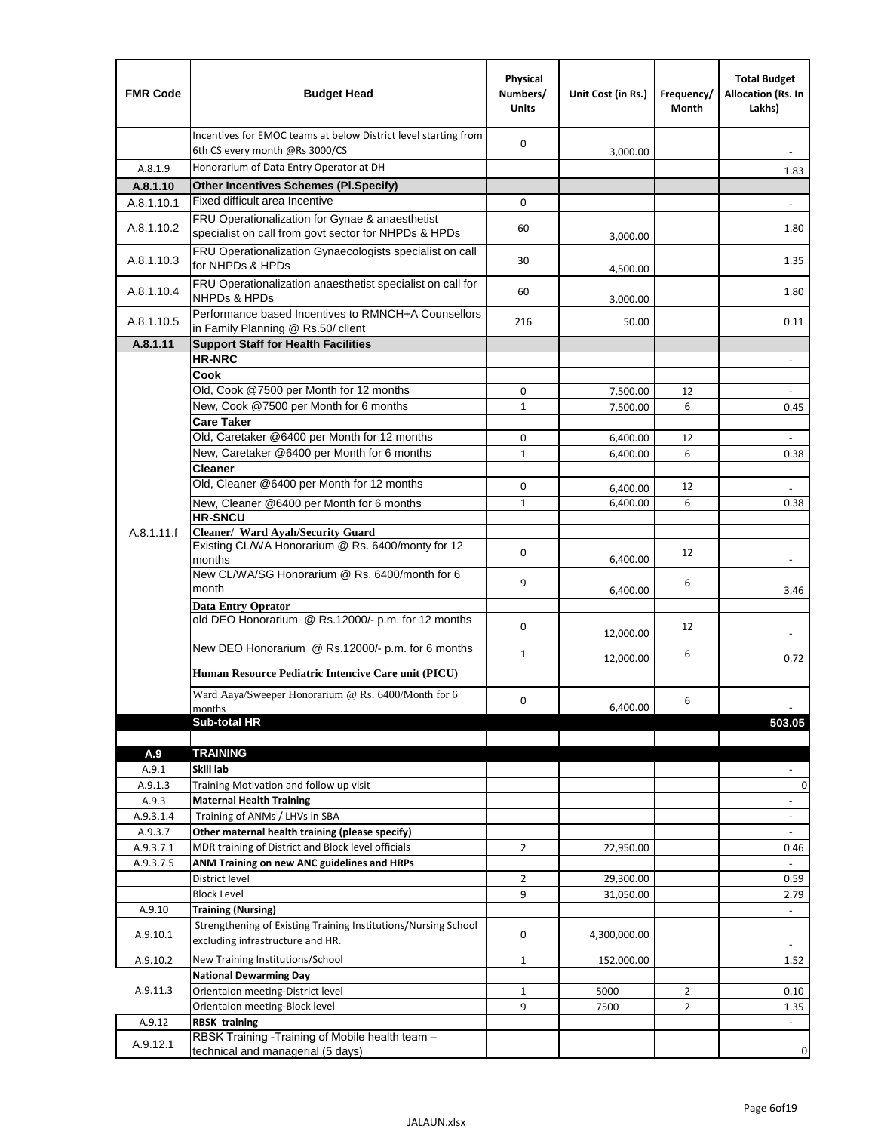| <b>FMR Code</b> | <b>Budget Head</b>                                                                                      | Physical<br>Numbers/<br><b>Units</b> | Unit Cost (in Rs.) | Frequency/<br>Month | <b>Total Budget</b><br>Allocation (Rs. In<br>Lakhs) |
|-----------------|---------------------------------------------------------------------------------------------------------|--------------------------------------|--------------------|---------------------|-----------------------------------------------------|
|                 | Incentives for EMOC teams at below District level starting from<br>6th CS every month @Rs 3000/CS       | $\mathbf 0$                          | 3,000.00           |                     |                                                     |
| A.8.1.9         | Honorarium of Data Entry Operator at DH                                                                 |                                      |                    |                     | 1.83                                                |
| A.8.1.10        | <b>Other Incentives Schemes (PI.Specify)</b>                                                            |                                      |                    |                     |                                                     |
| A.8.1.10.1      | Fixed difficult area Incentive                                                                          | $\mathbf 0$                          |                    |                     |                                                     |
| A.8.1.10.2      | FRU Operationalization for Gynae & anaesthetist<br>specialist on call from govt sector for NHPDs & HPDs | 60                                   | 3,000.00           |                     | 1.80                                                |
| A.8.1.10.3      | FRU Operationalization Gynaecologists specialist on call<br>for NHPDs & HPDs                            | 30                                   | 4,500.00           |                     | 1.35                                                |
| A.8.1.10.4      | FRU Operationalization anaesthetist specialist on call for<br><b>NHPDs &amp; HPDs</b>                   | 60                                   | 3,000.00           |                     | 1.80                                                |
| A.8.1.10.5      | Performance based Incentives to RMNCH+A Counsellors<br>in Family Planning @ Rs.50/ client               | 216                                  | 50.00              |                     | 0.11                                                |
| A.8.1.11        | <b>Support Staff for Health Facilities</b>                                                              |                                      |                    |                     |                                                     |
|                 | <b>HR-NRC</b>                                                                                           |                                      |                    |                     | $\overline{\phantom{m}}$                            |
|                 | Cook<br>Old, Cook @7500 per Month for 12 months                                                         | 0                                    | 7,500.00           | 12                  | $\Box$                                              |
|                 | New, Cook @7500 per Month for 6 months                                                                  | $\mathbf{1}$                         | 7,500.00           | 6                   | 0.45                                                |
|                 | <b>Care Taker</b>                                                                                       |                                      |                    |                     |                                                     |
|                 | Old, Caretaker @6400 per Month for 12 months                                                            | $\mathbf 0$                          | 6,400.00           | 12                  | ä,                                                  |
|                 | New, Caretaker @6400 per Month for 6 months                                                             | $\mathbf{1}$                         | 6,400.00           | 6                   | 0.38                                                |
|                 | <b>Cleaner</b>                                                                                          |                                      |                    |                     |                                                     |
|                 | Old, Cleaner @6400 per Month for 12 months                                                              | 0                                    | 6,400.00           | 12                  |                                                     |
|                 | New, Cleaner @6400 per Month for 6 months                                                               | $\mathbf{1}$                         | 6,400.00           | 6                   | 0.38                                                |
| A.8.1.11.f      | <b>HR-SNCU</b><br>Cleaner/ Ward Ayah/Security Guard                                                     |                                      |                    |                     |                                                     |
|                 | Existing CL/WA Honorarium @ Rs. 6400/monty for 12<br>months                                             | $\mathbf 0$                          | 6,400.00           | 12                  |                                                     |
|                 | New CL/WA/SG Honorarium @ Rs. 6400/month for 6<br>month                                                 | 9                                    | 6,400.00           | 6                   | 3.46                                                |
|                 | <b>Data Entry Oprator</b>                                                                               |                                      |                    |                     |                                                     |
|                 | old DEO Honorarium @ Rs.12000/- p.m. for 12 months                                                      | $\mathbf 0$                          | 12,000.00          | 12                  |                                                     |
|                 | New DEO Honorarium @ Rs.12000/- p.m. for 6 months                                                       | $\mathbf{1}$                         | 12,000.00          | 6                   | 0.72                                                |
|                 | Human Resource Pediatric Intencive Care unit (PICU)                                                     |                                      |                    |                     |                                                     |
|                 | Ward Aaya/Sweeper Honorarium @ Rs. 6400/Month for 6                                                     | $\mathbf 0$                          |                    | 6                   |                                                     |
|                 | months                                                                                                  |                                      | 6,400.00           |                     |                                                     |
|                 | Sub-total HR                                                                                            |                                      |                    |                     | 503.05                                              |
| A.9             | <b>TRAINING</b>                                                                                         |                                      |                    |                     |                                                     |
| A.9.1           | Skill lab                                                                                               |                                      |                    |                     |                                                     |
| A.9.1.3         | Training Motivation and follow up visit                                                                 |                                      |                    |                     | 0                                                   |
| A.9.3           | <b>Maternal Health Training</b>                                                                         |                                      |                    |                     | $\blacksquare$                                      |
| A.9.3.1.4       | Training of ANMs / LHVs in SBA                                                                          |                                      |                    |                     | $\overline{\phantom{a}}$                            |
| A.9.3.7         | Other maternal health training (please specify)                                                         |                                      |                    |                     |                                                     |
| A.9.3.7.1       | MDR training of District and Block level officials                                                      | $\overline{2}$                       | 22,950.00          |                     | 0.46                                                |
| A.9.3.7.5       | ANM Training on new ANC guidelines and HRPs                                                             |                                      |                    |                     |                                                     |
|                 | District level<br><b>Block Level</b>                                                                    | $\overline{2}$<br>9                  | 29,300.00          |                     | 0.59                                                |
| A.9.10          | <b>Training (Nursing)</b>                                                                               |                                      | 31,050.00          |                     | 2.79<br>$\overline{\phantom{a}}$                    |
| A.9.10.1        | Strengthening of Existing Training Institutions/Nursing School<br>excluding infrastructure and HR.      | 0                                    | 4,300,000.00       |                     |                                                     |
| A.9.10.2        | New Training Institutions/School                                                                        | $\mathbf{1}$                         | 152,000.00         |                     | 1.52                                                |
|                 | <b>National Dewarming Day</b>                                                                           |                                      |                    |                     |                                                     |
| A.9.11.3        | Orientaion meeting-District level                                                                       | $\mathbf 1$                          | 5000               | $\overline{2}$      | 0.10                                                |
|                 | Orientaion meeting-Block level                                                                          | 9                                    | 7500               | $\overline{2}$      | 1.35                                                |
| A.9.12          | <b>RBSK training</b>                                                                                    |                                      |                    |                     |                                                     |
| A.9.12.1        | RBSK Training -Training of Mobile health team -<br>technical and managerial (5 days)                    |                                      |                    |                     | 0                                                   |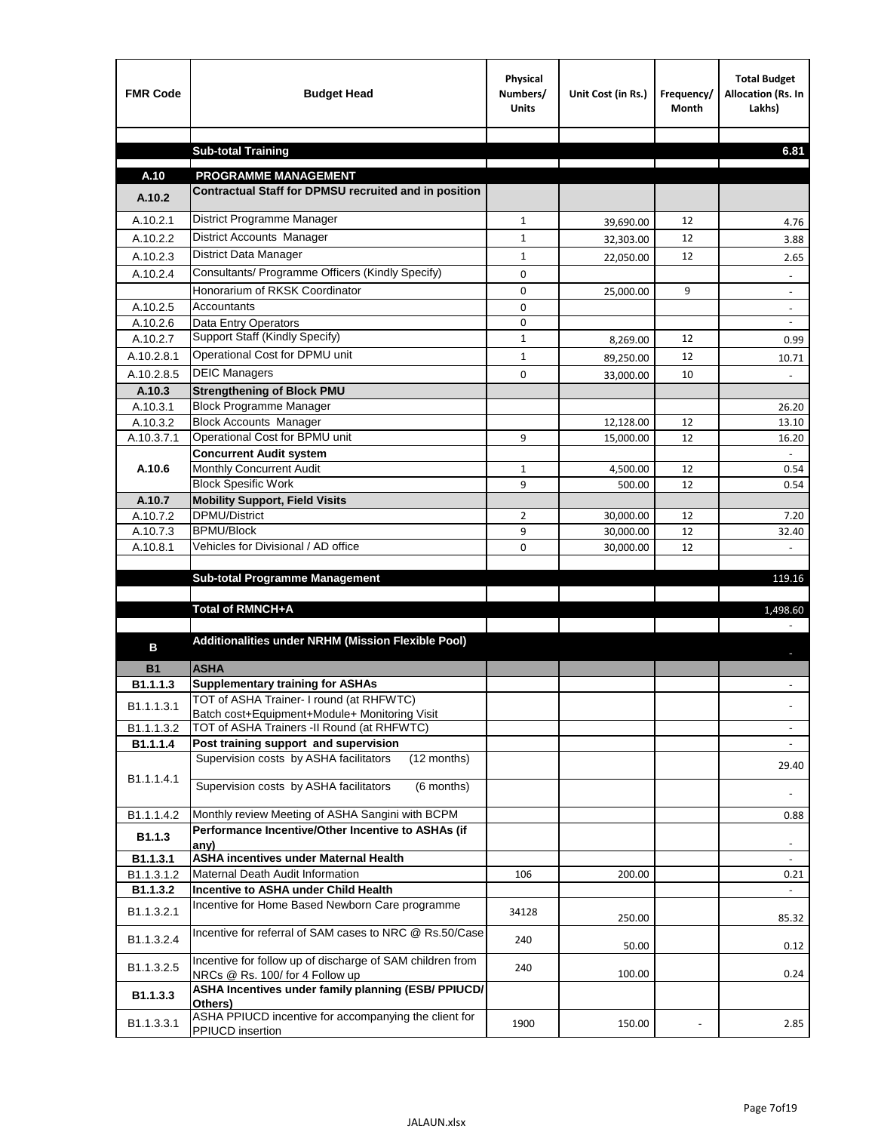| <b>FMR Code</b>        | <b>Budget Head</b>                                                                             | Physical<br>Numbers/<br><b>Units</b> | Unit Cost (in Rs.)     | Frequency/<br>Month | <b>Total Budget</b><br>Allocation (Rs. In<br>Lakhs) |
|------------------------|------------------------------------------------------------------------------------------------|--------------------------------------|------------------------|---------------------|-----------------------------------------------------|
|                        |                                                                                                |                                      |                        |                     |                                                     |
|                        | <b>Sub-total Training</b>                                                                      |                                      |                        |                     | 6.81                                                |
| A.10                   | <b>PROGRAMME MANAGEMENT</b>                                                                    |                                      |                        |                     |                                                     |
| A.10.2                 | Contractual Staff for DPMSU recruited and in position                                          |                                      |                        |                     |                                                     |
| A.10.2.1               | District Programme Manager                                                                     | $\mathbf{1}$                         |                        | 12                  |                                                     |
| A.10.2.2               | <b>District Accounts Manager</b>                                                               | $\mathbf{1}$                         | 39,690.00              | 12                  | 4.76<br>3.88                                        |
| A.10.2.3               | District Data Manager                                                                          | $\mathbf{1}$                         | 32,303.00              | 12                  |                                                     |
| A.10.2.4               | Consultants/ Programme Officers (Kindly Specify)                                               | $\mathbf 0$                          | 22,050.00              |                     | 2.65                                                |
|                        | Honorarium of RKSK Coordinator                                                                 | 0                                    | 25,000.00              | 9                   | $\overline{\phantom{a}}$                            |
| A.10.2.5               | Accountants                                                                                    | $\mathbf 0$                          |                        |                     |                                                     |
| A.10.2.6               | Data Entry Operators                                                                           | 0                                    |                        |                     | $\overline{\phantom{a}}$                            |
| A.10.2.7               | Support Staff (Kindly Specify)                                                                 | $\mathbf{1}$                         | 8,269.00               | 12                  | 0.99                                                |
| A.10.2.8.1             | Operational Cost for DPMU unit                                                                 | $\mathbf{1}$                         | 89,250.00              | 12                  | 10.71                                               |
| A.10.2.8.5             | <b>DEIC Managers</b>                                                                           | 0                                    | 33,000.00              | 10                  |                                                     |
| A.10.3                 | <b>Strengthening of Block PMU</b>                                                              |                                      |                        |                     |                                                     |
| A.10.3.1               | <b>Block Programme Manager</b>                                                                 |                                      |                        |                     | 26.20                                               |
| A.10.3.2               | <b>Block Accounts Manager</b>                                                                  |                                      | 12,128.00              | 12                  | 13.10                                               |
| A.10.3.7.1             | Operational Cost for BPMU unit                                                                 | 9                                    | 15,000.00              | 12                  | 16.20                                               |
|                        | <b>Concurrent Audit system</b>                                                                 |                                      |                        |                     |                                                     |
| A.10.6                 | Monthly Concurrent Audit                                                                       | $\mathbf{1}$                         | 4,500.00               | 12                  | 0.54                                                |
|                        | <b>Block Spesific Work</b>                                                                     | 9                                    | 500.00                 | 12                  | 0.54                                                |
| A.10.7<br>A.10.7.2     | <b>Mobility Support, Field Visits</b><br><b>DPMU/District</b>                                  |                                      |                        |                     |                                                     |
| A.10.7.3               | <b>BPMU/Block</b>                                                                              | 2<br>9                               | 30,000.00<br>30,000.00 | 12<br>12            | 7.20<br>32.40                                       |
| A.10.8.1               | Vehicles for Divisional / AD office                                                            | 0                                    | 30,000.00              | 12                  | $\mathbf{r}$                                        |
|                        |                                                                                                |                                      |                        |                     |                                                     |
|                        | <b>Sub-total Programme Management</b>                                                          |                                      |                        |                     | 119.16                                              |
|                        |                                                                                                |                                      |                        |                     |                                                     |
|                        | Total of RMNCH+A                                                                               |                                      |                        |                     | 1,498.60                                            |
| в                      | Additionalities under NRHM (Mission Flexible Pool)                                             |                                      |                        |                     |                                                     |
| <b>B1</b>              | <b>ASHA</b>                                                                                    |                                      |                        |                     |                                                     |
| B1.1.1.3               | <b>Supplementary training for ASHAs</b>                                                        |                                      |                        |                     |                                                     |
| B1.1.1.3.1             | TOT of ASHA Trainer- I round (at RHFWTC)                                                       |                                      |                        |                     |                                                     |
|                        | Batch cost+Equipment+Module+ Monitoring Visit                                                  |                                      |                        |                     |                                                     |
| B1.1.1.3.2             | TOT of ASHA Trainers -II Round (at RHFWTC)                                                     |                                      |                        |                     |                                                     |
| B1.1.1.4               | Post training support and supervision<br>Supervision costs by ASHA facilitators<br>(12 months) |                                      |                        |                     | $\sim$                                              |
|                        |                                                                                                |                                      |                        |                     | 29.40                                               |
| B1.1.1.4.1             | Supervision costs by ASHA facilitators<br>(6 months)                                           |                                      |                        |                     |                                                     |
| B1.1.1.4.2             | Monthly review Meeting of ASHA Sangini with BCPM                                               |                                      |                        |                     | 0.88                                                |
| B <sub>1.1.3</sub>     | Performance Incentive/Other Incentive to ASHAs (if                                             |                                      |                        |                     |                                                     |
|                        | any)                                                                                           |                                      |                        |                     |                                                     |
| B1.1.3.1<br>B1.1.3.1.2 | <b>ASHA incentives under Maternal Health</b><br>Maternal Death Audit Information               | 106                                  |                        |                     | $\overline{\phantom{a}}$                            |
| B1.1.3.2               | Incentive to ASHA under Child Health                                                           |                                      | 200.00                 |                     | 0.21<br>$\omega$ .                                  |
| B1.1.3.2.1             | Incentive for Home Based Newborn Care programme                                                | 34128                                | 250.00                 |                     | 85.32                                               |
| B1.1.3.2.4             | Incentive for referral of SAM cases to NRC @ Rs.50/Case                                        | 240                                  | 50.00                  |                     | 0.12                                                |
| B1.1.3.2.5             | Incentive for follow up of discharge of SAM children from<br>NRCs @ Rs. 100/ for 4 Follow up   | 240                                  | 100.00                 |                     | 0.24                                                |
| B1.1.3.3               | ASHA Incentives under family planning (ESB/ PPIUCD/<br>Others)                                 |                                      |                        |                     |                                                     |
| B1.1.3.3.1             | ASHA PPIUCD incentive for accompanying the client for<br>PPIUCD insertion                      | 1900                                 | 150.00                 |                     | 2.85                                                |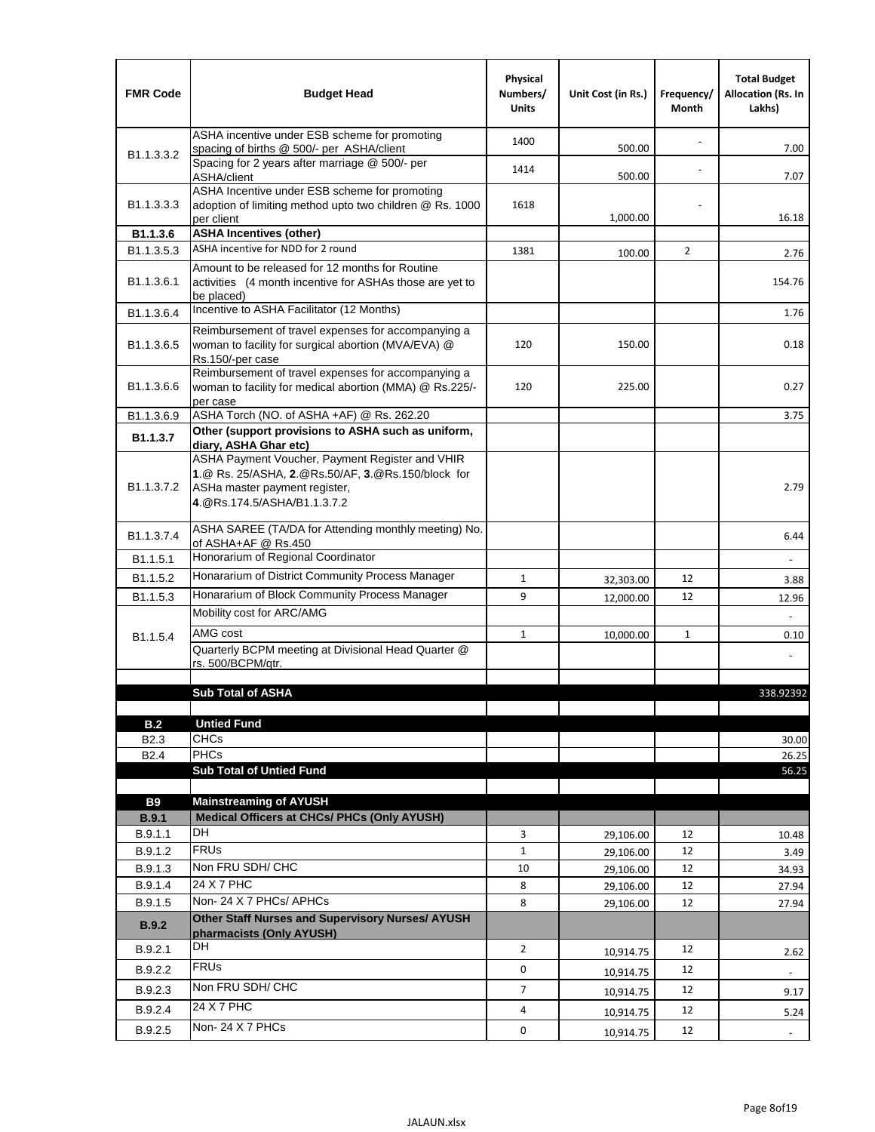| <b>FMR Code</b>            | <b>Budget Head</b>                                                                                                                                                                             | Physical<br>Numbers/<br><b>Units</b> | Unit Cost (in Rs.) | Frequency/<br>Month | <b>Total Budget</b><br><b>Allocation (Rs. In</b><br>Lakhs) |
|----------------------------|------------------------------------------------------------------------------------------------------------------------------------------------------------------------------------------------|--------------------------------------|--------------------|---------------------|------------------------------------------------------------|
|                            | ASHA incentive under ESB scheme for promoting<br>spacing of births @ 500/- per ASHA/client                                                                                                     | 1400                                 | 500.00             |                     | 7.00                                                       |
| B <sub>1.1</sub> , 3, 3, 2 | Spacing for 2 years after marriage @ 500/- per<br>ASHA/client                                                                                                                                  | 1414                                 | 500.00             |                     | 7.07                                                       |
| B1.1.3.3.3                 | ASHA Incentive under ESB scheme for promoting<br>adoption of limiting method upto two children @ Rs. 1000<br>per client                                                                        | 1618                                 | 1,000.00           |                     | 16.18                                                      |
| B1.1.3.6                   | <b>ASHA Incentives (other)</b>                                                                                                                                                                 |                                      |                    |                     |                                                            |
| B <sub>1.1</sub> , 3, 5, 3 | ASHA incentive for NDD for 2 round                                                                                                                                                             | 1381                                 | 100.00             | $\overline{2}$      | 2.76                                                       |
| B <sub>1.1</sub> .3.6.1    | Amount to be released for 12 months for Routine<br>activities (4 month incentive for ASHAs those are yet to<br>be placed)                                                                      |                                      |                    |                     | 154.76                                                     |
| B1.1.3.6.4                 | Incentive to ASHA Facilitator (12 Months)                                                                                                                                                      |                                      |                    |                     | 1.76                                                       |
| B <sub>1.1</sub> .3.6.5    | Reimbursement of travel expenses for accompanying a<br>woman to facility for surgical abortion (MVA/EVA) @<br>Rs.150/-per case                                                                 | 120                                  | 150.00             |                     | 0.18                                                       |
| B <sub>1.1</sub> .3.6.6    | Reimbursement of travel expenses for accompanying a<br>woman to facility for medical abortion (MMA) @ Rs.225/-<br>per case                                                                     | 120                                  | 225.00             |                     | 0.27                                                       |
| B1.1.3.6.9                 | ASHA Torch (NO. of ASHA +AF) @ Rs. 262.20                                                                                                                                                      |                                      |                    |                     | 3.75                                                       |
| B1.1.3.7                   | Other (support provisions to ASHA such as uniform,                                                                                                                                             |                                      |                    |                     |                                                            |
| B <sub>1.1</sub> .3.7.2    | diary, ASHA Ghar etc)<br>ASHA Payment Voucher, Payment Register and VHIR<br>1.@ Rs. 25/ASHA, 2.@Rs.50/AF, 3.@Rs.150/block for<br>ASHa master payment register,<br>4. @Rs.174.5/ASHA/B1.1.3.7.2 |                                      |                    |                     | 2.79                                                       |
| B <sub>1.1</sub> , 3.7.4   | ASHA SAREE (TA/DA for Attending monthly meeting) No.<br>of ASHA+AF @ Rs.450                                                                                                                    |                                      |                    |                     | 6.44                                                       |
| B <sub>1.1</sub> .5.1      | Honorarium of Regional Coordinator                                                                                                                                                             |                                      |                    |                     |                                                            |
| B <sub>1.1.5.2</sub>       | Honararium of District Community Process Manager                                                                                                                                               | $\mathbf{1}$                         | 32,303.00          | 12                  | 3.88                                                       |
| B1.1.5.3                   | Honararium of Block Community Process Manager                                                                                                                                                  | 9                                    | 12,000.00          | 12                  | 12.96                                                      |
|                            | Mobility cost for ARC/AMG                                                                                                                                                                      |                                      |                    |                     |                                                            |
| B <sub>1.1.5.4</sub>       | AMG cost                                                                                                                                                                                       | $\mathbf{1}$                         | 10,000.00          | $\mathbf{1}$        | 0.10                                                       |
|                            | Quarterly BCPM meeting at Divisional Head Quarter @                                                                                                                                            |                                      |                    |                     |                                                            |
|                            | rs. 500/BCPM/qtr.                                                                                                                                                                              |                                      |                    |                     |                                                            |
|                            | <b>Sub Total of ASHA</b>                                                                                                                                                                       |                                      |                    |                     | 338.92392                                                  |
|                            |                                                                                                                                                                                                |                                      |                    |                     |                                                            |
| B.2                        | <b>Untied Fund</b>                                                                                                                                                                             |                                      |                    |                     |                                                            |
| B <sub>2.3</sub>           | <b>CHCs</b>                                                                                                                                                                                    |                                      |                    |                     | 30.00                                                      |
| B <sub>2.4</sub>           | PHCs                                                                                                                                                                                           |                                      |                    |                     | 26.25                                                      |
|                            | <b>Sub Total of Untied Fund</b>                                                                                                                                                                |                                      |                    |                     | 56.25                                                      |
| <b>B9</b>                  | <b>Mainstreaming of AYUSH</b>                                                                                                                                                                  |                                      |                    |                     |                                                            |
| B.9.1                      | Medical Officers at CHCs/ PHCs (Only AYUSH)                                                                                                                                                    |                                      |                    |                     |                                                            |
| B.9.1.1                    | <b>DH</b>                                                                                                                                                                                      | 3                                    | 29,106.00          | 12                  | 10.48                                                      |
| B.9.1.2                    | <b>FRUs</b>                                                                                                                                                                                    | $\mathbf{1}$                         | 29,106.00          | 12                  | 3.49                                                       |
| B.9.1.3                    | Non FRU SDH/ CHC                                                                                                                                                                               | 10                                   | 29,106.00          | 12                  | 34.93                                                      |
| B.9.1.4                    | 24 X 7 PHC                                                                                                                                                                                     | 8                                    | 29,106.00          | 12                  | 27.94                                                      |
| B.9.1.5                    | Non-24 X 7 PHCs/ APHCs                                                                                                                                                                         | 8                                    | 29,106.00          | 12                  | 27.94                                                      |
| B.9.2                      | Other Staff Nurses and Supervisory Nurses/ AYUSH<br>pharmacists (Only AYUSH)                                                                                                                   |                                      |                    |                     |                                                            |
| B.9.2.1                    | DH                                                                                                                                                                                             | $\overline{2}$                       | 10,914.75          | 12                  | 2.62                                                       |
| B.9.2.2                    | <b>FRUs</b>                                                                                                                                                                                    | 0                                    | 10,914.75          | 12                  |                                                            |
| B.9.2.3                    | Non FRU SDH/ CHC                                                                                                                                                                               | 7                                    | 10,914.75          | 12                  | 9.17                                                       |
| B.9.2.4                    | 24 X 7 PHC                                                                                                                                                                                     | 4                                    |                    | 12                  |                                                            |
|                            | Non-24 X 7 PHCs                                                                                                                                                                                |                                      | 10,914.75          |                     | 5.24                                                       |
| B.9.2.5                    |                                                                                                                                                                                                | 0                                    | 10,914.75          | 12                  | $\overline{\phantom{a}}$                                   |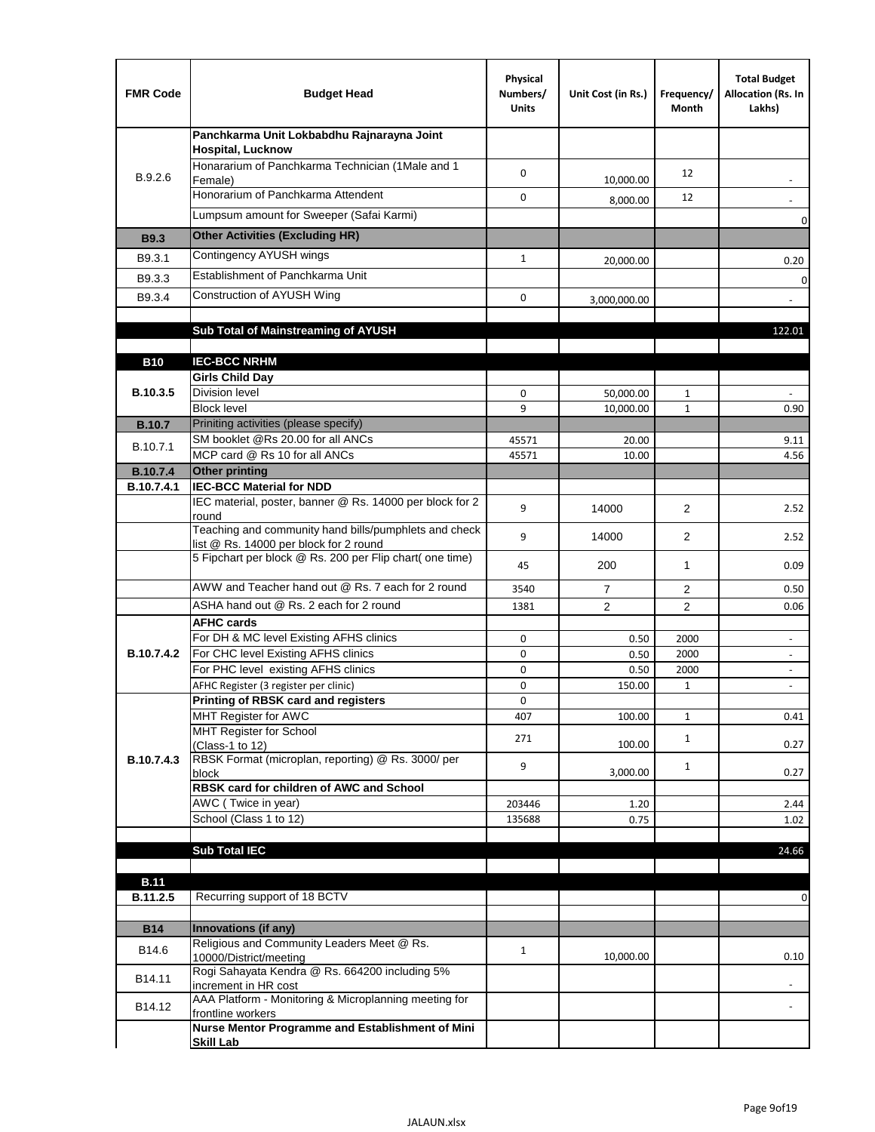| <b>FMR Code</b>   | <b>Budget Head</b>                                                                              | Physical<br>Numbers/<br><b>Units</b> | Unit Cost (in Rs.) | Frequency/<br>Month | <b>Total Budget</b><br>Allocation (Rs. In<br>Lakhs)  |
|-------------------|-------------------------------------------------------------------------------------------------|--------------------------------------|--------------------|---------------------|------------------------------------------------------|
|                   | Panchkarma Unit Lokbabdhu Rajnarayna Joint<br><b>Hospital, Lucknow</b>                          |                                      |                    |                     |                                                      |
| B.9.2.6           | Honararium of Panchkarma Technician (1Male and 1<br>Female)                                     | 0                                    | 10,000.00          | 12                  |                                                      |
|                   | Honorarium of Panchkarma Attendent                                                              | $\mathbf 0$                          | 8,000.00           | 12                  |                                                      |
|                   | Lumpsum amount for Sweeper (Safai Karmi)                                                        |                                      |                    |                     | 0                                                    |
| <b>B9.3</b>       | <b>Other Activities (Excluding HR)</b>                                                          |                                      |                    |                     |                                                      |
| B9.3.1            | Contingency AYUSH wings                                                                         | $\mathbf{1}$                         | 20,000.00          |                     | 0.20                                                 |
| B9.3.3            | Establishment of Panchkarma Unit                                                                |                                      |                    |                     | $\mathbf 0$                                          |
| B9.3.4            | Construction of AYUSH Wing                                                                      | 0                                    | 3,000,000.00       |                     |                                                      |
|                   |                                                                                                 |                                      |                    |                     |                                                      |
|                   | Sub Total of Mainstreaming of AYUSH                                                             |                                      |                    |                     | 122.01                                               |
|                   | <b>IEC-BCC NRHM</b>                                                                             |                                      |                    |                     |                                                      |
| <b>B10</b>        | <b>Girls Child Day</b>                                                                          |                                      |                    |                     |                                                      |
| B.10.3.5          | <b>Division level</b>                                                                           | 0                                    | 50,000.00          | 1                   |                                                      |
|                   | <b>Block level</b>                                                                              | 9                                    | 10,000.00          | $\mathbf{1}$        | 0.90                                                 |
| <b>B.10.7</b>     | Priniting activities (please specify)                                                           |                                      |                    |                     |                                                      |
| B.10.7.1          | SM booklet @Rs 20.00 for all ANCs<br>MCP card @ Rs 10 for all ANCs                              | 45571<br>45571                       | 20.00<br>10.00     |                     | 9.11<br>4.56                                         |
| <b>B.10.7.4</b>   | <b>Other printing</b>                                                                           |                                      |                    |                     |                                                      |
| B.10.7.4.1        | <b>IEC-BCC Material for NDD</b>                                                                 |                                      |                    |                     |                                                      |
|                   | IEC material, poster, banner @ Rs. 14000 per block for 2<br>round                               | 9                                    | 14000              | $\overline{2}$      | 2.52                                                 |
|                   | Teaching and community hand bills/pumphlets and check<br>list @ Rs. 14000 per block for 2 round | 9                                    | 14000              | 2                   | 2.52                                                 |
|                   | 5 Fipchart per block @ Rs. 200 per Flip chart( one time)                                        | 45                                   | 200                | 1                   | 0.09                                                 |
|                   | AWW and Teacher hand out @ Rs. 7 each for 2 round                                               | 3540                                 | $\overline{7}$     | 2                   | 0.50                                                 |
|                   | ASHA hand out @ Rs. 2 each for 2 round                                                          | 1381                                 | $\overline{2}$     | 2                   | 0.06                                                 |
|                   | <b>AFHC cards</b>                                                                               |                                      |                    |                     |                                                      |
| <b>B.10.7.4.2</b> | For DH & MC level Existing AFHS clinics<br>For CHC level Existing AFHS clinics                  | 0<br>0                               | 0.50<br>0.50       | 2000<br>2000        | $\overline{\phantom{a}}$<br>$\overline{\phantom{a}}$ |
|                   | For PHC level existing AFHS clinics                                                             | 0                                    | 0.50               | 2000                | $\bar{\phantom{a}}$                                  |
|                   | AFHC Register (3 register per clinic)                                                           | 0                                    | 150.00             | $\mathbf{1}$        | $\blacksquare$                                       |
|                   | Printing of RBSK card and registers                                                             | 0                                    |                    |                     |                                                      |
|                   | MHT Register for AWC<br>MHT Register for School                                                 | 407                                  | 100.00             | $\mathbf{1}$        | 0.41                                                 |
|                   | (Class-1 to 12)                                                                                 | 271                                  | 100.00             | $\mathbf{1}$        | 0.27                                                 |
| B.10.7.4.3        | RBSK Format (microplan, reporting) @ Rs. 3000/ per<br>block                                     | 9                                    | 3,000.00           | $\mathbf{1}$        | 0.27                                                 |
|                   | RBSK card for children of AWC and School                                                        |                                      |                    |                     |                                                      |
|                   | AWC (Twice in year)                                                                             | 203446                               | 1.20               |                     | 2.44                                                 |
|                   | School (Class 1 to 12)                                                                          | 135688                               | 0.75               |                     | 1.02                                                 |
|                   | <b>Sub Total IEC</b>                                                                            |                                      |                    |                     | 24.66                                                |
|                   |                                                                                                 |                                      |                    |                     |                                                      |
| <b>B.11</b>       |                                                                                                 |                                      |                    |                     |                                                      |
| B.11.2.5          | Recurring support of 18 BCTV                                                                    |                                      |                    |                     | 0                                                    |
| <b>B14</b>        | Innovations (if any)                                                                            |                                      |                    |                     |                                                      |
|                   | Religious and Community Leaders Meet @ Rs.                                                      |                                      |                    |                     |                                                      |
| B14.6             | 10000/District/meeting                                                                          | $\mathbf{1}$                         | 10,000.00          |                     | 0.10                                                 |
| B14.11            | Rogi Sahayata Kendra @ Rs. 664200 including 5%<br>increment in HR cost                          |                                      |                    |                     |                                                      |
| B14.12            | AAA Platform - Monitoring & Microplanning meeting for<br>frontline workers                      |                                      |                    |                     |                                                      |
|                   | Nurse Mentor Programme and Establishment of Mini                                                |                                      |                    |                     |                                                      |
|                   | <b>Skill Lab</b>                                                                                |                                      |                    |                     |                                                      |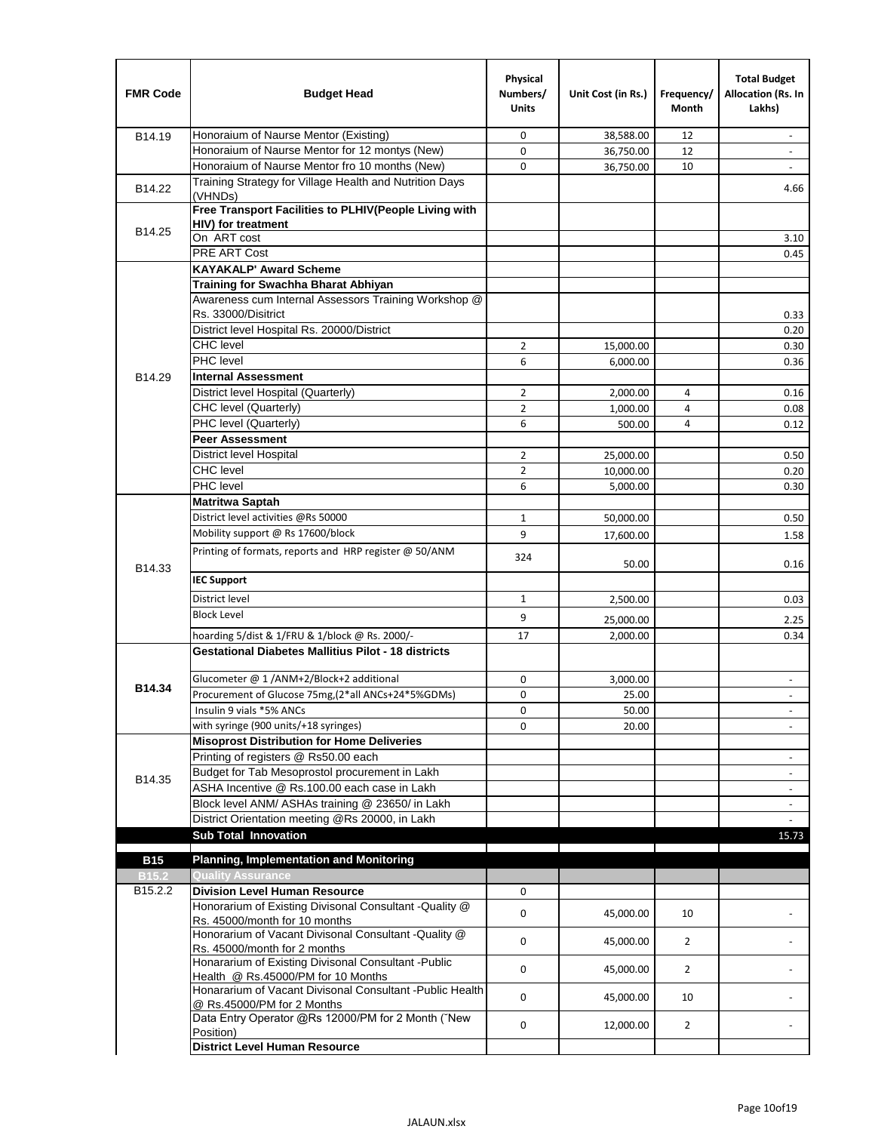| <b>FMR Code</b>   | <b>Budget Head</b>                                                                                           | Physical<br>Numbers/<br><b>Units</b> | Unit Cost (in Rs.) | Frequency/<br><b>Month</b> | <b>Total Budget</b><br>Allocation (Rs. In<br>Lakhs) |
|-------------------|--------------------------------------------------------------------------------------------------------------|--------------------------------------|--------------------|----------------------------|-----------------------------------------------------|
| B14.19            | Honoraium of Naurse Mentor (Existing)                                                                        | 0                                    | 38,588.00          | 12                         | $\sim$                                              |
|                   | Honoraium of Naurse Mentor for 12 montys (New)                                                               | 0                                    | 36,750.00          | 12                         |                                                     |
|                   | Honoraium of Naurse Mentor fro 10 months (New)                                                               | 0                                    | 36,750.00          | 10                         | $\sim$                                              |
| B14.22            | Training Strategy for Village Health and Nutrition Days<br>(VHNDs)                                           |                                      |                    |                            | 4.66                                                |
|                   | Free Transport Facilities to PLHIV(People Living with                                                        |                                      |                    |                            |                                                     |
| B14.25            | <b>HIV)</b> for treatment                                                                                    |                                      |                    |                            |                                                     |
|                   | On ART cost                                                                                                  |                                      |                    |                            | 3.10                                                |
|                   | PRE ART Cost                                                                                                 |                                      |                    |                            | 0.45                                                |
|                   | <b>KAYAKALP' Award Scheme</b>                                                                                |                                      |                    |                            |                                                     |
|                   | Training for Swachha Bharat Abhiyan                                                                          |                                      |                    |                            |                                                     |
|                   | Awareness cum Internal Assessors Training Workshop @<br>Rs. 33000/Disitrict                                  |                                      |                    |                            | 0.33                                                |
|                   | District level Hospital Rs. 20000/District                                                                   |                                      |                    |                            | 0.20                                                |
|                   | <b>CHC</b> level                                                                                             | 2                                    | 15,000.00          |                            | 0.30                                                |
|                   | <b>PHC</b> level                                                                                             | 6                                    | 6,000.00           |                            | 0.36                                                |
| B14.29            | <b>Internal Assessment</b>                                                                                   |                                      |                    |                            |                                                     |
|                   | District level Hospital (Quarterly)                                                                          | $\overline{2}$                       | 2,000.00           | 4                          | 0.16                                                |
|                   | CHC level (Quarterly)                                                                                        | $\overline{2}$                       | 1,000.00           | 4                          | 0.08                                                |
|                   | PHC level (Quarterly)                                                                                        | 6                                    | 500.00             | 4                          | 0.12                                                |
|                   | <b>Peer Assessment</b>                                                                                       |                                      |                    |                            |                                                     |
|                   | <b>District level Hospital</b>                                                                               | $\overline{2}$                       | 25.000.00          |                            | 0.50                                                |
|                   | <b>CHC</b> level                                                                                             | $\overline{2}$                       | 10,000.00          |                            | 0.20                                                |
|                   | PHC level                                                                                                    | 6                                    | 5,000.00           |                            | 0.30                                                |
|                   | Matritwa Saptah                                                                                              |                                      |                    |                            |                                                     |
|                   | District level activities @Rs 50000                                                                          | $\mathbf{1}$                         | 50,000.00          |                            | 0.50                                                |
|                   | Mobility support @ Rs 17600/block                                                                            | 9                                    | 17,600.00          |                            | 1.58                                                |
|                   | Printing of formats, reports and HRP register @ 50/ANM                                                       |                                      |                    |                            |                                                     |
| B14.33            |                                                                                                              | 324                                  | 50.00              |                            | 0.16                                                |
|                   | <b>IEC Support</b>                                                                                           |                                      |                    |                            |                                                     |
|                   | District level                                                                                               | 1                                    | 2,500.00           |                            | 0.03                                                |
|                   | <b>Block Level</b>                                                                                           | 9                                    |                    |                            |                                                     |
|                   |                                                                                                              | 17                                   | 25,000.00          |                            | 2.25                                                |
|                   | hoarding 5/dist & 1/FRU & 1/block @ Rs. 2000/-<br><b>Gestational Diabetes Mallitius Pilot - 18 districts</b> |                                      | 2,000.00           |                            | 0.34                                                |
|                   |                                                                                                              |                                      |                    |                            |                                                     |
| B14.34            | Glucometer @ 1 /ANM+2/Block+2 additional<br>Procurement of Glucose 75mg, (2*all ANCs+24*5%GDMs)              | 0                                    | 3,000.00           |                            | $\overline{\phantom{a}}$                            |
|                   |                                                                                                              | 0                                    | 25.00              |                            |                                                     |
|                   | Insulin 9 vials *5% ANCs<br>with syringe (900 units/+18 syringes)                                            | 0<br>0                               | 50.00              |                            | $\blacksquare$                                      |
|                   | <b>Misoprost Distribution for Home Deliveries</b>                                                            |                                      | 20.00              |                            |                                                     |
|                   | Printing of registers @ Rs50.00 each                                                                         |                                      |                    |                            | $\overline{\phantom{a}}$                            |
|                   | Budget for Tab Mesoprostol procurement in Lakh                                                               |                                      |                    |                            | $\blacksquare$                                      |
| B14.35            | ASHA Incentive @ Rs.100.00 each case in Lakh                                                                 |                                      |                    |                            | $\overline{\phantom{a}}$                            |
|                   | Block level ANM/ ASHAs training @ 23650/ in Lakh                                                             |                                      |                    |                            | $\overline{\phantom{a}}$                            |
|                   | District Orientation meeting @Rs 20000, in Lakh                                                              |                                      |                    |                            |                                                     |
|                   | <b>Sub Total Innovation</b>                                                                                  |                                      |                    |                            | 15.73                                               |
| <b>B15</b>        | <b>Planning, Implementation and Monitoring</b>                                                               |                                      |                    |                            |                                                     |
| B <sub>15.2</sub> | <b>Quality Assurance</b>                                                                                     |                                      |                    |                            |                                                     |
| B15.2.2           | <b>Division Level Human Resource</b>                                                                         | 0                                    |                    |                            |                                                     |
|                   | Honorarium of Existing Divisonal Consultant -Quality @<br>Rs. 45000/month for 10 months                      | 0                                    | 45,000.00          | 10                         |                                                     |
|                   | Honorarium of Vacant Divisonal Consultant -Quality @                                                         | 0                                    | 45,000.00          | $\overline{2}$             |                                                     |
|                   | Rs. 45000/month for 2 months<br>Honararium of Existing Divisonal Consultant - Public                         | 0                                    | 45,000.00          | $\overline{2}$             |                                                     |
|                   | Health @ Rs.45000/PM for 10 Months<br>Honararium of Vacant Divisonal Consultant - Public Health              | 0                                    | 45,000.00          | 10                         |                                                     |
|                   | @ Rs.45000/PM for 2 Months<br>Data Entry Operator @Rs 12000/PM for 2 Month ("New                             | 0                                    | 12,000.00          | $\overline{2}$             |                                                     |
|                   | Position)<br><b>District Level Human Resource</b>                                                            |                                      |                    |                            |                                                     |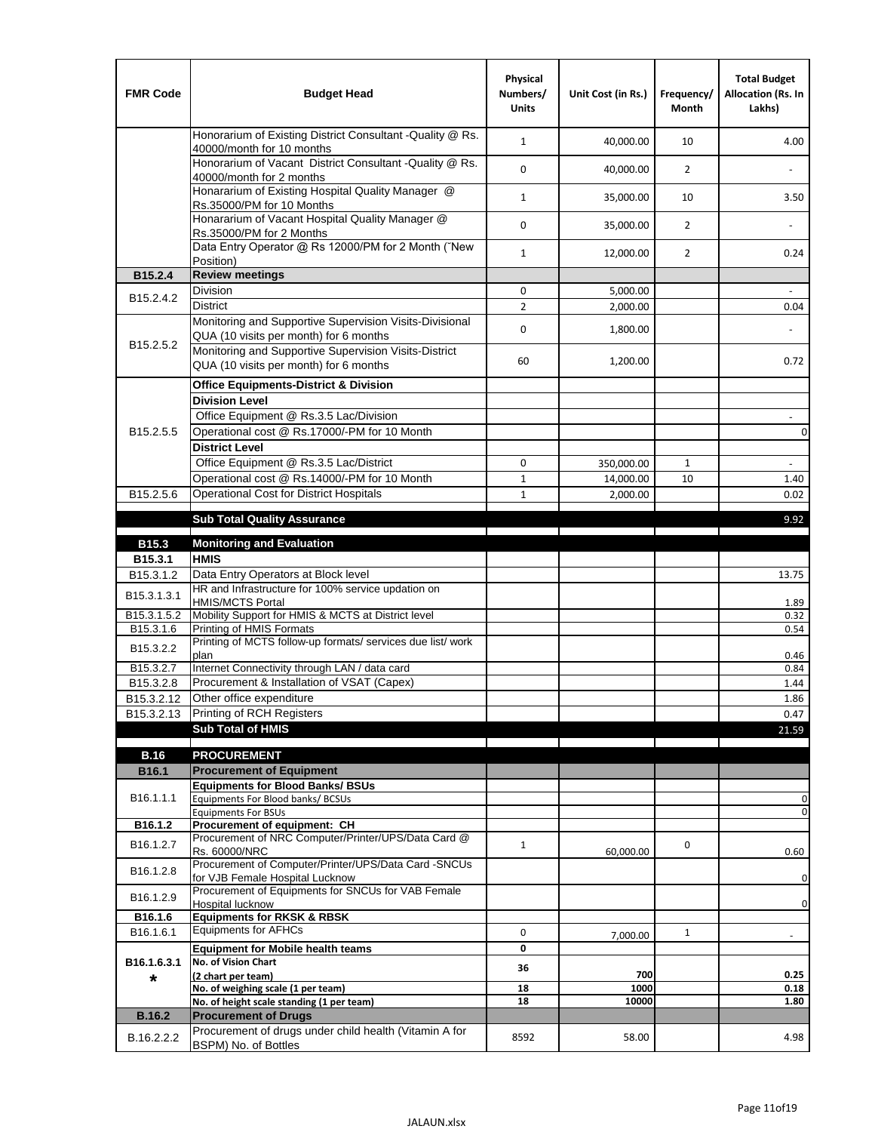| <b>FMR Code</b>         | <b>Budget Head</b>                                                                                | Physical<br>Numbers/<br><b>Units</b> | Unit Cost (in Rs.) | Frequency/<br><b>Month</b> | <b>Total Budget</b><br>Allocation (Rs. In<br>Lakhs) |
|-------------------------|---------------------------------------------------------------------------------------------------|--------------------------------------|--------------------|----------------------------|-----------------------------------------------------|
|                         | Honorarium of Existing District Consultant -Quality @ Rs.<br>40000/month for 10 months            | $\mathbf{1}$                         | 40,000.00          | 10                         | 4.00                                                |
|                         | Honorarium of Vacant District Consultant -Quality @ Rs.<br>40000/month for 2 months               | $\mathbf 0$                          | 40,000.00          | $\overline{2}$             |                                                     |
|                         | Honararium of Existing Hospital Quality Manager @<br>Rs.35000/PM for 10 Months                    | $\mathbf{1}$                         | 35,000.00          | 10                         | 3.50                                                |
|                         | Honararium of Vacant Hospital Quality Manager @<br>Rs.35000/PM for 2 Months                       | $\mathbf 0$                          | 35,000.00          | $\overline{2}$             |                                                     |
|                         | Data Entry Operator @ Rs 12000/PM for 2 Month ("New<br>Position)                                  | $\mathbf{1}$                         | 12,000.00          | $\overline{2}$             | 0.24                                                |
| B15.2.4                 | <b>Review meetings</b>                                                                            |                                      |                    |                            |                                                     |
| B <sub>15.2</sub> .4.2  | Division                                                                                          | 0                                    | 5,000.00           |                            |                                                     |
|                         | <b>District</b>                                                                                   | $\overline{2}$                       | 2,000.00           |                            | 0.04                                                |
|                         | Monitoring and Supportive Supervision Visits-Divisional<br>QUA (10 visits per month) for 6 months | $\mathbf 0$                          | 1,800.00           |                            |                                                     |
| B15.2.5.2               | Monitoring and Supportive Supervision Visits-District<br>QUA (10 visits per month) for 6 months   | 60                                   | 1,200.00           |                            | 0.72                                                |
|                         | <b>Office Equipments-District &amp; Division</b>                                                  |                                      |                    |                            |                                                     |
|                         | <b>Division Level</b>                                                                             |                                      |                    |                            |                                                     |
|                         | Office Equipment @ Rs.3.5 Lac/Division                                                            |                                      |                    |                            | $\overline{\phantom{a}}$                            |
| B15.2.5.5               | Operational cost @ Rs.17000/-PM for 10 Month                                                      |                                      |                    |                            | $\pmb{0}$                                           |
|                         | <b>District Level</b>                                                                             |                                      |                    |                            |                                                     |
|                         | Office Equipment @ Rs.3.5 Lac/District                                                            | 0                                    | 350,000.00         | 1                          | $\blacksquare$                                      |
|                         | Operational cost @ Rs.14000/-PM for 10 Month                                                      | $1\,$                                | 14,000.00          | 10                         | 1.40                                                |
| B15.2.5.6               | <b>Operational Cost for District Hospitals</b>                                                    | $\mathbf{1}$                         | 2,000.00           |                            | 0.02                                                |
|                         | <b>Sub Total Quality Assurance</b>                                                                |                                      |                    |                            | 9.92                                                |
|                         |                                                                                                   |                                      |                    |                            |                                                     |
| B15.3<br>B15.3.1        | <b>Monitoring and Evaluation</b><br><b>HMIS</b>                                                   |                                      |                    |                            |                                                     |
| B15.3.1.2               | Data Entry Operators at Block level                                                               |                                      |                    |                            | 13.75                                               |
| B15.3.1.3.1             | HR and Infrastructure for 100% service updation on<br><b>HMIS/MCTS Portal</b>                     |                                      |                    |                            | 1.89                                                |
| B <sub>15.3.1.5.2</sub> | Mobility Support for HMIS & MCTS at District level                                                |                                      |                    |                            | 0.32                                                |
| B15.3.1.6               | Printing of HMIS Formats                                                                          |                                      |                    |                            | 0.54                                                |
| B15.3.2.2               | Printing of MCTS follow-up formats/ services due list/ work<br>plan                               |                                      |                    |                            | 0.46                                                |
| B15.3.2.7               | Internet Connectivity through LAN / data card                                                     |                                      |                    |                            | 0.84                                                |
| B15.3.2.8               | Procurement & Installation of VSAT (Capex)                                                        |                                      |                    |                            | 1.44                                                |
| B15.3.2.12              | Other office expenditure                                                                          |                                      |                    |                            | 1.86                                                |
| B15.3.2.13              | Printing of RCH Registers                                                                         |                                      |                    |                            | 0.47                                                |
|                         | <b>Sub Total of HMIS</b>                                                                          |                                      |                    |                            | 21.59                                               |
| <b>B.16</b>             | <b>PROCUREMENT</b>                                                                                |                                      |                    |                            |                                                     |
| B16.1                   | <b>Procurement of Equipment</b>                                                                   |                                      |                    |                            |                                                     |
|                         | <b>Equipments for Blood Banks/ BSUs</b>                                                           |                                      |                    |                            |                                                     |
| B16.1.1.1               | Equipments For Blood banks/ BCSUs                                                                 |                                      |                    |                            | 0                                                   |
| B16.1.2                 | <b>Equipments For BSUs</b>                                                                        |                                      |                    |                            | 0                                                   |
|                         | Procurement of equipment: CH<br>Procurement of NRC Computer/Printer/UPS/Data Card @               |                                      |                    |                            |                                                     |
| B16.1.2.7               | Rs. 60000/NRC                                                                                     | $\mathbf{1}$                         | 60,000.00          | 0                          | 0.60                                                |
| B16.1.2.8               | Procurement of Computer/Printer/UPS/Data Card -SNCUs                                              |                                      |                    |                            |                                                     |
|                         | for VJB Female Hospital Lucknow<br>Procurement of Equipments for SNCUs for VAB Female             |                                      |                    |                            | 0                                                   |
| B16.1.2.9               | Hospital lucknow                                                                                  |                                      |                    |                            | $\mathbf 0$                                         |
| B16.1.6                 | <b>Equipments for RKSK &amp; RBSK</b>                                                             |                                      |                    |                            |                                                     |
| B16.1.6.1               | <b>Equipments for AFHCs</b>                                                                       | 0                                    | 7,000.00           | $\mathbf{1}$               | ÷,                                                  |
|                         | <b>Equipment for Mobile health teams</b>                                                          | 0                                    |                    |                            |                                                     |
| B16.1.6.3.1             | No. of Vision Chart                                                                               | 36                                   | 700                |                            | 0.25                                                |
| *                       | (2 chart per team)<br>No. of weighing scale (1 per team)                                          | 18                                   | 1000               |                            | 0.18                                                |
|                         | No. of height scale standing (1 per team)                                                         | 18                                   | 10000              |                            | 1.80                                                |
| <b>B.16.2</b>           | <b>Procurement of Drugs</b>                                                                       |                                      |                    |                            |                                                     |
| B.16.2.2.2              | Procurement of drugs under child health (Vitamin A for                                            | 8592                                 | 58.00              |                            | 4.98                                                |
|                         | BSPM) No. of Bottles                                                                              |                                      |                    |                            |                                                     |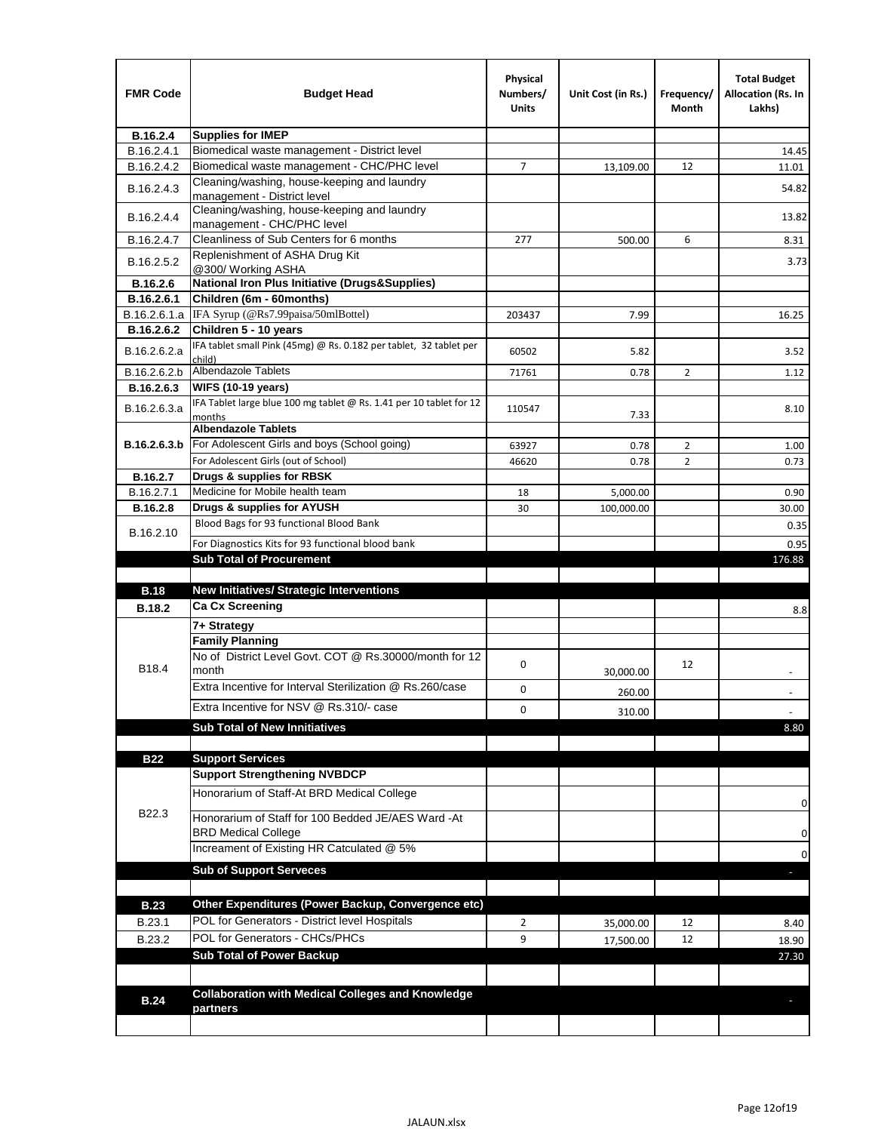| <b>FMR Code</b>               | <b>Budget Head</b>                                                                   | Physical<br>Numbers/<br>Units | Unit Cost (in Rs.) | Frequency/<br>Month | <b>Total Budget</b><br>Allocation (Rs. In<br>Lakhs) |
|-------------------------------|--------------------------------------------------------------------------------------|-------------------------------|--------------------|---------------------|-----------------------------------------------------|
| B.16.2.4                      | <b>Supplies for IMEP</b>                                                             |                               |                    |                     |                                                     |
| B.16.2.4.1                    | Biomedical waste management - District level                                         |                               |                    |                     | 14.45                                               |
| B.16.2.4.2                    | Biomedical waste management - CHC/PHC level                                          | 7                             | 13,109.00          | 12                  | 11.01                                               |
| B.16.2.4.3                    | Cleaning/washing, house-keeping and laundry<br>management - District level           |                               |                    |                     | 54.82                                               |
| B.16.2.4.4                    | Cleaning/washing, house-keeping and laundry<br>management - CHC/PHC level            |                               |                    |                     | 13.82                                               |
| B.16.2.4.7                    | Cleanliness of Sub Centers for 6 months                                              | 277                           | 500.00             | 6                   | 8.31                                                |
| B.16.2.5.2                    | Replenishment of ASHA Drug Kit<br>@300/ Working ASHA                                 |                               |                    |                     | 3.73                                                |
| B.16.2.6                      | <b>National Iron Plus Initiative (Drugs&amp;Supplies)</b>                            |                               |                    |                     |                                                     |
| B.16.2.6.1                    | Children (6m - 60months)                                                             |                               |                    |                     |                                                     |
| B.16.2.6.1.a                  | IFA Syrup (@Rs7.99paisa/50mlBottel)                                                  | 203437                        | 7.99               |                     | 16.25                                               |
| B.16.2.6.2                    | Children 5 - 10 years                                                                |                               |                    |                     |                                                     |
| B.16.2.6.2.a                  | IFA tablet small Pink (45mg) @ Rs. 0.182 per tablet, 32 tablet per<br>child)         | 60502                         | 5.82               |                     | 3.52                                                |
| B.16.2.6.2.b                  | <b>Albendazole Tablets</b>                                                           | 71761                         | 0.78               | 2                   | 1.12                                                |
| B.16.2.6.3                    | <b>WIFS (10-19 years)</b>                                                            |                               |                    |                     |                                                     |
| B.16.2.6.3.a                  | IFA Tablet large blue 100 mg tablet @ Rs. 1.41 per 10 tablet for 12<br>months        | 110547                        | 7.33               |                     | 8.10                                                |
|                               | <b>Albendazole Tablets</b>                                                           |                               |                    |                     |                                                     |
| B.16.2.6.3.b                  | For Adolescent Girls and boys (School going)                                         | 63927                         | 0.78               | $\overline{2}$      | 1.00                                                |
|                               | For Adolescent Girls (out of School)                                                 | 46620                         | 0.78               | $\overline{2}$      | 0.73                                                |
| B.16.2.7                      | Drugs & supplies for RBSK<br>Medicine for Mobile health team                         |                               |                    |                     |                                                     |
| B.16.2.7.1<br><b>B.16.2.8</b> | Drugs & supplies for AYUSH                                                           | 18                            | 5,000.00           |                     | 0.90                                                |
|                               | Blood Bags for 93 functional Blood Bank                                              | 30                            | 100,000.00         |                     | 30.00                                               |
| B.16.2.10                     |                                                                                      |                               |                    |                     | 0.35                                                |
|                               | For Diagnostics Kits for 93 functional blood bank<br><b>Sub Total of Procurement</b> |                               |                    |                     | 0.95<br>176.88                                      |
|                               |                                                                                      |                               |                    |                     |                                                     |
| <b>B.18</b>                   | <b>New Initiatives/ Strategic Interventions</b>                                      |                               |                    |                     |                                                     |
| <b>B.18.2</b>                 | <b>Ca Cx Screening</b>                                                               |                               |                    |                     | 8.8                                                 |
|                               | 7+ Strategy                                                                          |                               |                    |                     |                                                     |
|                               | <b>Family Planning</b>                                                               |                               |                    |                     |                                                     |
| B18.4                         | No of District Level Govt. COT @ Rs.30000/month for 12<br>month                      | 0                             | 30,000.00          | 12                  |                                                     |
|                               | Extra Incentive for Interval Sterilization @ Rs.260/case                             | 0                             |                    |                     |                                                     |
|                               |                                                                                      |                               | 260.00             |                     |                                                     |
|                               | Extra Incentive for NSV @ Rs.310/- case                                              | 0                             | 310.00             |                     |                                                     |
|                               | <b>Sub Total of New Innitiatives</b>                                                 |                               |                    |                     | 8.80                                                |
|                               |                                                                                      |                               |                    |                     |                                                     |
| <b>B22</b>                    | <b>Support Services</b><br><b>Support Strengthening NVBDCP</b>                       |                               |                    |                     |                                                     |
|                               | Honorarium of Staff-At BRD Medical College                                           |                               |                    |                     |                                                     |
| B22.3                         | Honorarium of Staff for 100 Bedded JE/AES Ward -At                                   |                               |                    |                     | 0                                                   |
|                               | <b>BRD Medical College</b><br>Increament of Existing HR Catculated @ 5%              |                               |                    |                     | 0                                                   |
|                               |                                                                                      |                               |                    |                     | 0                                                   |
|                               | <b>Sub of Support Serveces</b>                                                       |                               |                    |                     |                                                     |
|                               |                                                                                      |                               |                    |                     |                                                     |
| <b>B.23</b>                   | Other Expenditures (Power Backup, Convergence etc)                                   |                               |                    |                     |                                                     |
| B.23.1                        | POL for Generators - District level Hospitals                                        | $\overline{2}$                | 35,000.00          | 12                  | 8.40                                                |
| B.23.2                        | POL for Generators - CHCs/PHCs                                                       | 9                             | 17,500.00          | 12                  | 18.90                                               |
|                               | <b>Sub Total of Power Backup</b>                                                     |                               |                    |                     | 27.30                                               |
|                               |                                                                                      |                               |                    |                     |                                                     |
| <b>B.24</b>                   | <b>Collaboration with Medical Colleges and Knowledge</b><br>partners                 |                               |                    |                     |                                                     |
|                               |                                                                                      |                               |                    |                     |                                                     |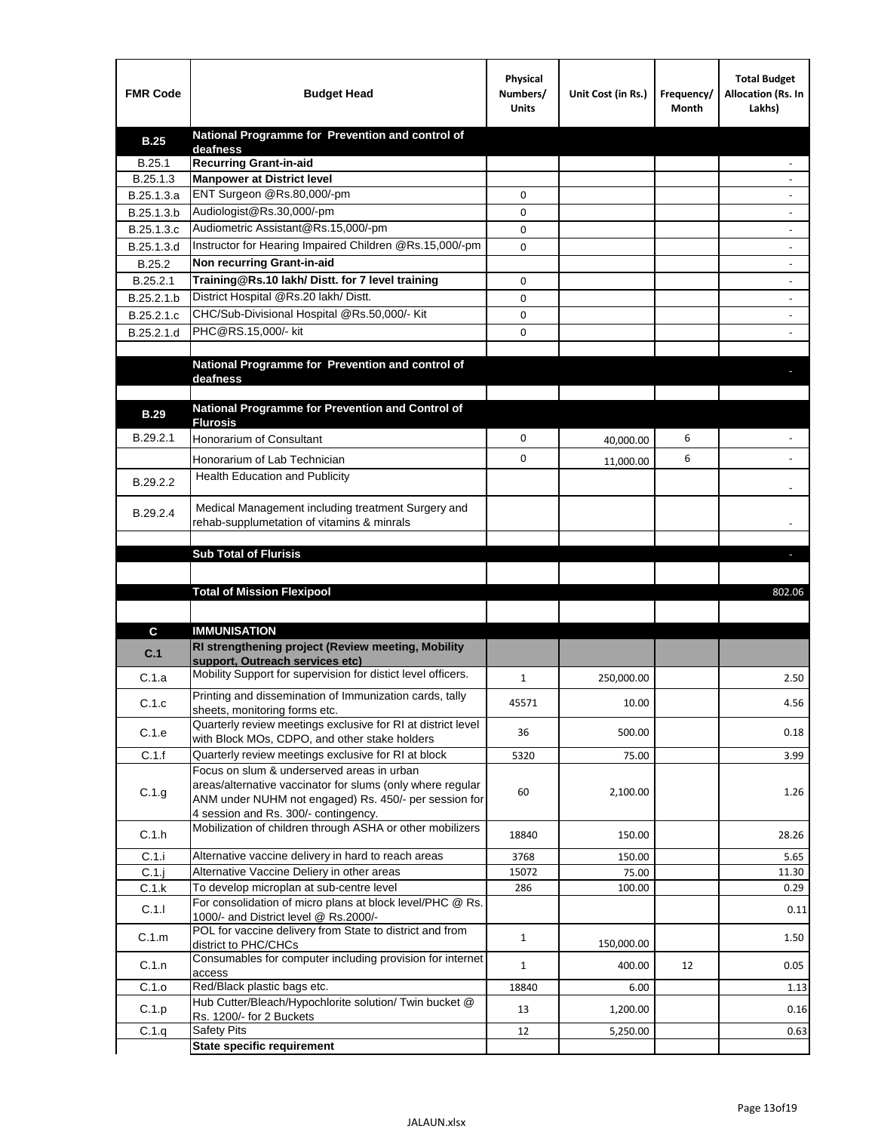| <b>FMR Code</b>   | <b>Budget Head</b>                                                                                       | Physical<br>Numbers/<br><b>Units</b> | Unit Cost (in Rs.) | Frequency/<br>Month | <b>Total Budget</b><br>Allocation (Rs. In<br>Lakhs) |
|-------------------|----------------------------------------------------------------------------------------------------------|--------------------------------------|--------------------|---------------------|-----------------------------------------------------|
| <b>B.25</b>       | National Programme for Prevention and control of                                                         |                                      |                    |                     |                                                     |
| B.25.1            | deafness<br><b>Recurring Grant-in-aid</b>                                                                |                                      |                    |                     |                                                     |
| B.25.1.3          | <b>Manpower at District level</b>                                                                        |                                      |                    |                     |                                                     |
| B.25.1.3.a        | ENT Surgeon @Rs.80,000/-pm                                                                               | 0                                    |                    |                     |                                                     |
| B.25.1.3.b        | Audiologist@Rs.30,000/-pm                                                                                | 0                                    |                    |                     |                                                     |
| B.25.1.3.c        | Audiometric Assistant@Rs.15,000/-pm                                                                      | 0                                    |                    |                     |                                                     |
| B.25.1.3.d        | Instructor for Hearing Impaired Children @Rs.15,000/-pm                                                  | 0                                    |                    |                     |                                                     |
| B.25.2            | Non recurring Grant-in-aid                                                                               |                                      |                    |                     |                                                     |
| B.25.2.1          | Training@Rs.10 lakh/ Distt. for 7 level training                                                         | 0                                    |                    |                     |                                                     |
| B.25.2.1.b        | District Hospital @Rs.20 lakh/Distt.                                                                     | 0                                    |                    |                     |                                                     |
| B.25.2.1.c        | CHC/Sub-Divisional Hospital @Rs.50,000/- Kit                                                             | 0                                    |                    |                     |                                                     |
| B.25.2.1.d        | PHC@RS.15,000/- kit                                                                                      | 0                                    |                    |                     |                                                     |
|                   |                                                                                                          |                                      |                    |                     |                                                     |
|                   | National Programme for Prevention and control of                                                         |                                      |                    |                     |                                                     |
|                   | deafness                                                                                                 |                                      |                    |                     |                                                     |
|                   | National Programme for Prevention and Control of                                                         |                                      |                    |                     |                                                     |
| <b>B.29</b>       | <b>Flurosis</b>                                                                                          |                                      |                    |                     |                                                     |
| B.29.2.1          | Honorarium of Consultant                                                                                 | 0                                    | 40,000.00          | 6                   |                                                     |
|                   | Honorarium of Lab Technician                                                                             | 0                                    | 11,000.00          | 6                   |                                                     |
| B.29.2.2          | Health Education and Publicity                                                                           |                                      |                    |                     |                                                     |
|                   |                                                                                                          |                                      |                    |                     |                                                     |
| B.29.2.4          | Medical Management including treatment Surgery and                                                       |                                      |                    |                     |                                                     |
|                   | rehab-supplumetation of vitamins & minrals                                                               |                                      |                    |                     |                                                     |
|                   | <b>Sub Total of Flurisis</b>                                                                             |                                      |                    |                     | ь                                                   |
|                   |                                                                                                          |                                      |                    |                     |                                                     |
|                   | <b>Total of Mission Flexipool</b>                                                                        |                                      |                    |                     | 802.06                                              |
|                   |                                                                                                          |                                      |                    |                     |                                                     |
|                   |                                                                                                          |                                      |                    |                     |                                                     |
|                   |                                                                                                          |                                      |                    |                     |                                                     |
| C                 | <b>IMMUNISATION</b>                                                                                      |                                      |                    |                     |                                                     |
| C.1               | RI strengthening project (Review meeting, Mobility<br>support, Outreach services etc)                    |                                      |                    |                     |                                                     |
| C.1.a             | Mobility Support for supervision for distict level officers.                                             | 1                                    | 250,000.00         |                     | 2.50                                                |
|                   | Printing and dissemination of Immunization cards, tally                                                  |                                      |                    |                     |                                                     |
| C.1.c             | sheets, monitoring forms etc.                                                                            | 45571                                | 10.00              |                     | 4.56                                                |
|                   | Quarterly review meetings exclusive for RI at district level                                             | 36                                   | 500.00             |                     | 0.18                                                |
| C.1.e             | with Block MOs, CDPO, and other stake holders                                                            |                                      |                    |                     |                                                     |
| C.1.f             | Quarterly review meetings exclusive for RI at block                                                      | 5320                                 | 75.00              |                     | 3.99                                                |
|                   | Focus on slum & underserved areas in urban<br>areas/alternative vaccinator for slums (only where regular |                                      |                    |                     |                                                     |
| C.1.g             | ANM under NUHM not engaged) Rs. 450/- per session for                                                    | 60                                   | 2,100.00           |                     | 1.26                                                |
|                   | 4 session and Rs. 300/- contingency.                                                                     |                                      |                    |                     |                                                     |
| C.1.h             | Mobilization of children through ASHA or other mobilizers                                                | 18840                                | 150.00             |                     | 28.26                                               |
|                   |                                                                                                          | 3768                                 | 150.00             |                     | 5.65                                                |
| C.1.i<br>$C.1$ .j | Alternative vaccine delivery in hard to reach areas<br>Alternative Vaccine Deliery in other areas        | 15072                                | 75.00              |                     | 11.30                                               |
| C.1.k             | To develop microplan at sub-centre level                                                                 | 286                                  | 100.00             |                     | 0.29                                                |
| C.1.1             | For consolidation of micro plans at block level/PHC @ Rs.                                                |                                      |                    |                     | 0.11                                                |
|                   | 1000/- and District level @ Rs.2000/-                                                                    |                                      |                    |                     |                                                     |
| C.1.m             | POL for vaccine delivery from State to district and from                                                 | $\mathbf{1}$                         | 150,000.00         |                     | 1.50                                                |
|                   | district to PHC/CHCs<br>Consumables for computer including provision for internet                        |                                      |                    |                     |                                                     |
| C.1.n             | access                                                                                                   | $\mathbf{1}$                         | 400.00             | 12                  | 0.05                                                |
| C.1.o             | Red/Black plastic bags etc.                                                                              | 18840                                | 6.00               |                     | 1.13                                                |
| C.1.p             | Hub Cutter/Bleach/Hypochlorite solution/ Twin bucket @<br>Rs. 1200/- for 2 Buckets                       | 13                                   | 1,200.00           |                     | 0.16                                                |
| C.1.q             | <b>Safety Pits</b><br><b>State specific requirement</b>                                                  | 12                                   | 5,250.00           |                     | 0.63                                                |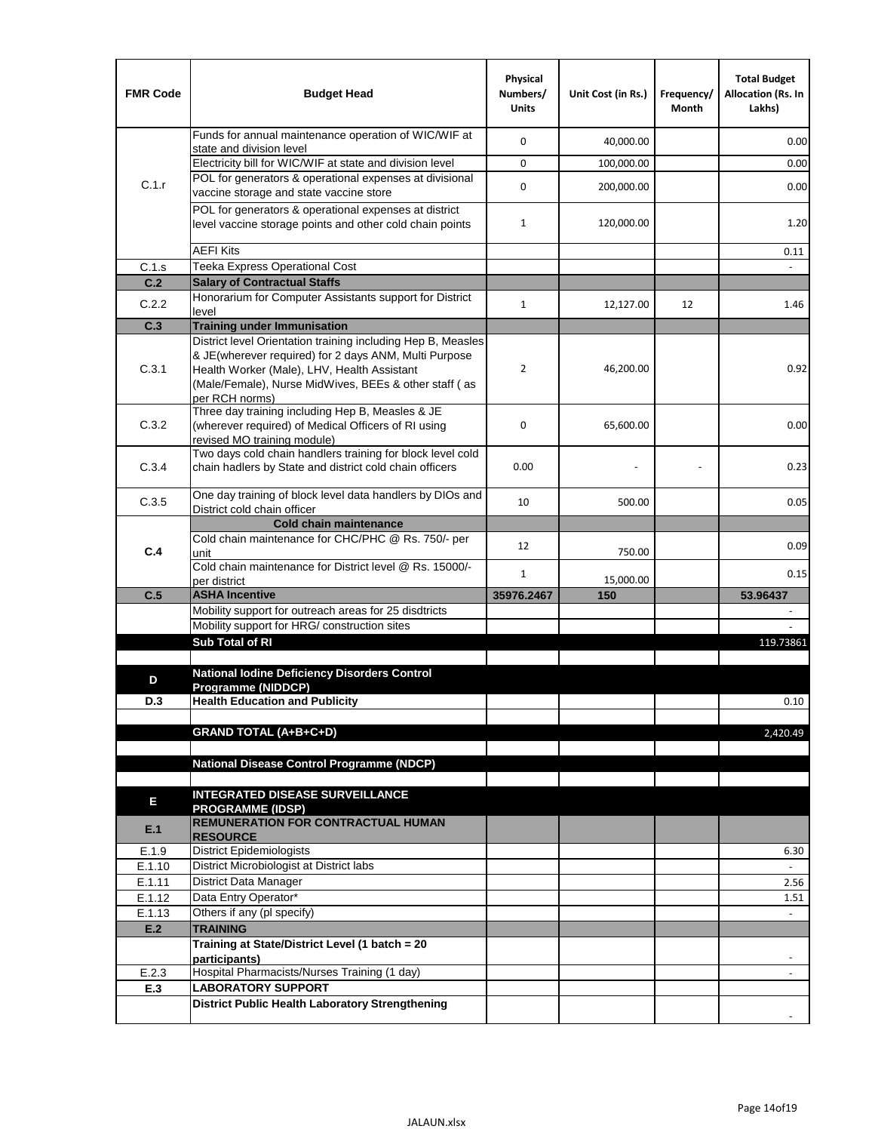| <b>FMR Code</b> | <b>Budget Head</b>                                                                                                                                                              | Physical<br>Numbers/<br><b>Units</b> | Unit Cost (in Rs.) | Frequency/<br>Month | <b>Total Budget</b><br><b>Allocation (Rs. In</b><br>Lakhs) |
|-----------------|---------------------------------------------------------------------------------------------------------------------------------------------------------------------------------|--------------------------------------|--------------------|---------------------|------------------------------------------------------------|
|                 | Funds for annual maintenance operation of WIC/WIF at<br>state and division level                                                                                                | $\mathbf 0$                          | 40,000.00          |                     | 0.00                                                       |
|                 | Electricity bill for WIC/WIF at state and division level                                                                                                                        | $\mathbf 0$                          | 100,000.00         |                     | 0.00                                                       |
| C.1.r           | POL for generators & operational expenses at divisional                                                                                                                         | $\mathbf 0$                          | 200,000.00         |                     | 0.00                                                       |
|                 | vaccine storage and state vaccine store                                                                                                                                         |                                      |                    |                     |                                                            |
|                 | POL for generators & operational expenses at district<br>level vaccine storage points and other cold chain points                                                               | $\mathbf{1}$                         | 120,000.00         |                     | 1.20                                                       |
|                 | <b>AEFI Kits</b>                                                                                                                                                                |                                      |                    |                     | 0.11                                                       |
| C.1.s           | Teeka Express Operational Cost                                                                                                                                                  |                                      |                    |                     |                                                            |
| C.2             | <b>Salary of Contractual Staffs</b>                                                                                                                                             |                                      |                    |                     |                                                            |
| C.2.2           | Honorarium for Computer Assistants support for District<br>level                                                                                                                | $\mathbf{1}$                         | 12,127.00          | 12                  | 1.46                                                       |
| C.3             | <b>Training under Immunisation</b>                                                                                                                                              |                                      |                    |                     |                                                            |
|                 | District level Orientation training including Hep B, Measles                                                                                                                    |                                      |                    |                     |                                                            |
| C.3.1           | & JE(wherever required) for 2 days ANM, Multi Purpose<br>Health Worker (Male), LHV, Health Assistant<br>(Male/Female), Nurse MidWives, BEEs & other staff (as<br>per RCH norms) | $\overline{2}$                       | 46,200.00          |                     | 0.92                                                       |
| C.3.2           | Three day training including Hep B, Measles & JE<br>(wherever required) of Medical Officers of RI using<br>revised MO training module)                                          | $\mathbf 0$                          | 65,600.00          |                     | 0.00                                                       |
| C.3.4           | Two days cold chain handlers training for block level cold<br>chain hadlers by State and district cold chain officers                                                           | 0.00                                 |                    |                     | 0.23                                                       |
| C.3.5           | One day training of block level data handlers by DIOs and<br>District cold chain officer                                                                                        | 10                                   | 500.00             |                     | 0.05                                                       |
|                 | <b>Cold chain maintenance</b>                                                                                                                                                   |                                      |                    |                     |                                                            |
| C.4             | Cold chain maintenance for CHC/PHC @ Rs. 750/- per<br>unit                                                                                                                      | 12                                   | 750.00             |                     | 0.09                                                       |
|                 | Cold chain maintenance for District level @ Rs. 15000/-<br>per district                                                                                                         | $\mathbf{1}$                         | 15,000.00          |                     | 0.15                                                       |
| C.5             | <b>ASHA Incentive</b>                                                                                                                                                           | 35976.2467                           | 150                |                     | 53.96437                                                   |
|                 | Mobility support for outreach areas for 25 disdtricts                                                                                                                           |                                      |                    |                     |                                                            |
|                 | Mobility support for HRG/ construction sites                                                                                                                                    |                                      |                    |                     |                                                            |
|                 | Sub Total of RI                                                                                                                                                                 |                                      |                    |                     | 119.73861                                                  |
| D               | <b>National Iodine Deficiency Disorders Control</b>                                                                                                                             |                                      |                    |                     |                                                            |
|                 | Programme (NIDDCP)                                                                                                                                                              |                                      |                    |                     |                                                            |
| D.3             | <b>Health Education and Publicity</b>                                                                                                                                           |                                      |                    |                     | 0.10                                                       |
|                 | <b>GRAND TOTAL (A+B+C+D)</b>                                                                                                                                                    |                                      |                    |                     | 2.420.49                                                   |
|                 |                                                                                                                                                                                 |                                      |                    |                     |                                                            |
|                 | <b>National Disease Control Programme (NDCP)</b>                                                                                                                                |                                      |                    |                     |                                                            |
|                 |                                                                                                                                                                                 |                                      |                    |                     |                                                            |
| Е               | <b>INTEGRATED DISEASE SURVEILLANCE</b>                                                                                                                                          |                                      |                    |                     |                                                            |
| E.1             | <b>PROGRAMME (IDSP)</b><br><b>REMUNERATION FOR CONTRACTUAL HUMAN</b><br><b>RESOURCE</b>                                                                                         |                                      |                    |                     |                                                            |
| E.1.9           | District Epidemiologists                                                                                                                                                        |                                      |                    |                     | 6.30                                                       |
| E.1.10          | District Microbiologist at District labs                                                                                                                                        |                                      |                    |                     |                                                            |
| E.1.11          | District Data Manager                                                                                                                                                           |                                      |                    |                     | 2.56                                                       |
| E.1.12          | Data Entry Operator*<br>Others if any (pl specify)                                                                                                                              |                                      |                    |                     | 1.51                                                       |
| E.1.13<br>E.2   | <b>TRAINING</b>                                                                                                                                                                 |                                      |                    |                     | $\omega$                                                   |
|                 | Training at State/District Level (1 batch = 20                                                                                                                                  |                                      |                    |                     |                                                            |
|                 | participants)                                                                                                                                                                   |                                      |                    |                     |                                                            |
| E.2.3           | Hospital Pharmacists/Nurses Training (1 day)                                                                                                                                    |                                      |                    |                     |                                                            |
| E.3             | <b>LABORATORY SUPPORT</b>                                                                                                                                                       |                                      |                    |                     |                                                            |
|                 | <b>District Public Health Laboratory Strengthening</b>                                                                                                                          |                                      |                    |                     |                                                            |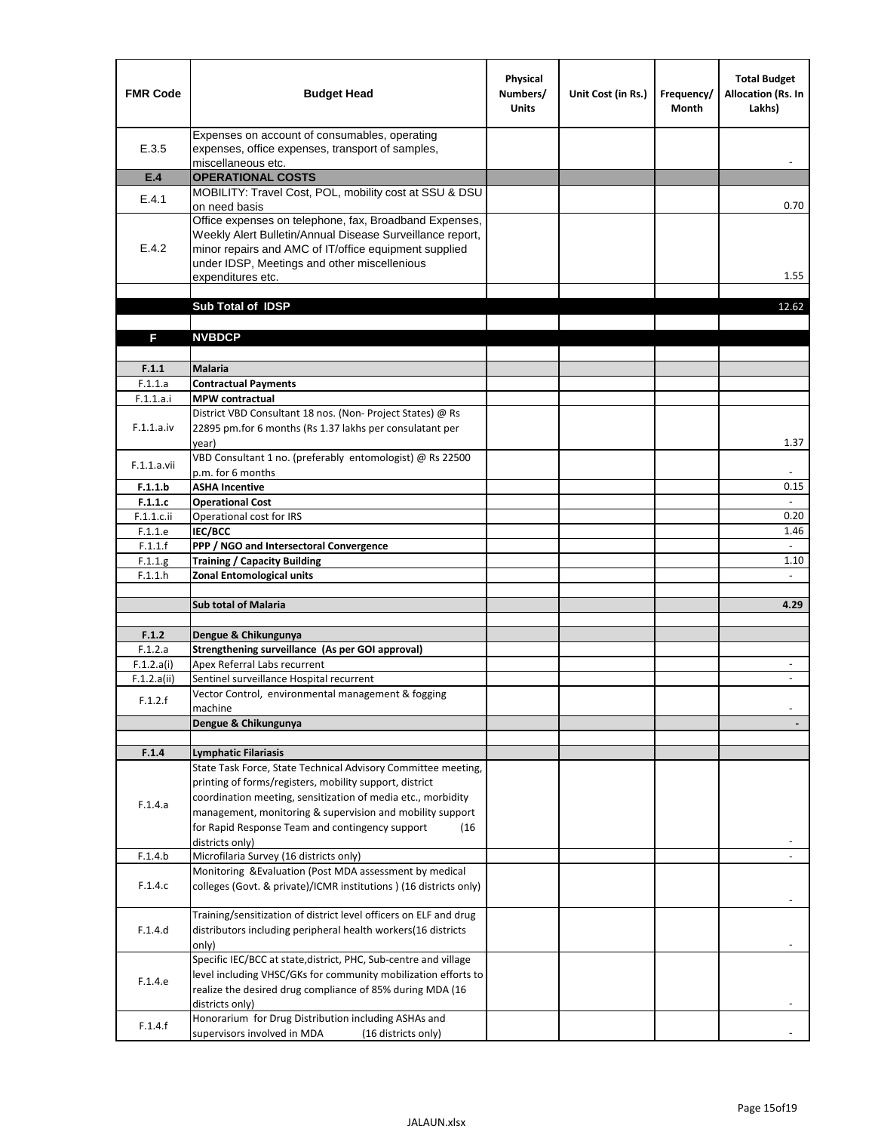| <b>FMR Code</b>       | <b>Budget Head</b>                                                                                                                                                                                                                                | Physical<br>Numbers/<br><b>Units</b> | Unit Cost (in Rs.) | Frequency/<br><b>Month</b> | <b>Total Budget</b><br>Allocation (Rs. In<br>Lakhs) |
|-----------------------|---------------------------------------------------------------------------------------------------------------------------------------------------------------------------------------------------------------------------------------------------|--------------------------------------|--------------------|----------------------------|-----------------------------------------------------|
| E.3.5                 | Expenses on account of consumables, operating<br>expenses, office expenses, transport of samples,<br>miscellaneous etc.                                                                                                                           |                                      |                    |                            |                                                     |
| E.4                   | <b>OPERATIONAL COSTS</b>                                                                                                                                                                                                                          |                                      |                    |                            |                                                     |
| E.4.1                 | MOBILITY: Travel Cost, POL, mobility cost at SSU & DSU                                                                                                                                                                                            |                                      |                    |                            |                                                     |
|                       | on need basis                                                                                                                                                                                                                                     |                                      |                    |                            | 0.70                                                |
| E.4.2                 | Office expenses on telephone, fax, Broadband Expenses,<br>Weekly Alert Bulletin/Annual Disease Surveillance report,<br>minor repairs and AMC of IT/office equipment supplied<br>under IDSP, Meetings and other miscellenious<br>expenditures etc. |                                      |                    |                            | 1.55                                                |
|                       | Sub Total of IDSP                                                                                                                                                                                                                                 |                                      |                    |                            | 12.62                                               |
|                       |                                                                                                                                                                                                                                                   |                                      |                    |                            |                                                     |
| F                     | <b>NVBDCP</b>                                                                                                                                                                                                                                     |                                      |                    |                            |                                                     |
|                       |                                                                                                                                                                                                                                                   |                                      |                    |                            |                                                     |
| F.1.1                 | <b>Malaria</b>                                                                                                                                                                                                                                    |                                      |                    |                            |                                                     |
| F.1.1.a               | <b>Contractual Payments</b>                                                                                                                                                                                                                       |                                      |                    |                            |                                                     |
| F.1.1.a.i             | <b>MPW</b> contractual<br>District VBD Consultant 18 nos. (Non-Project States) @ Rs                                                                                                                                                               |                                      |                    |                            |                                                     |
| F.1.1.a.iv            | 22895 pm.for 6 months (Rs 1.37 lakhs per consulatant per<br>year)                                                                                                                                                                                 |                                      |                    |                            | 1.37                                                |
|                       | VBD Consultant 1 no. (preferably entomologist) @ Rs 22500                                                                                                                                                                                         |                                      |                    |                            |                                                     |
| F.1.1.a.vii           | p.m. for 6 months                                                                                                                                                                                                                                 |                                      |                    |                            |                                                     |
| F.1.1.b               | <b>ASHA Incentive</b>                                                                                                                                                                                                                             |                                      |                    |                            | 0.15                                                |
| F.1.1.c               | <b>Operational Cost</b>                                                                                                                                                                                                                           |                                      |                    |                            |                                                     |
| $F.1.1.c.$ ii         | Operational cost for IRS                                                                                                                                                                                                                          |                                      |                    |                            | 0.20                                                |
| F.1.1.e<br>F.1.1.f    | <b>IEC/BCC</b><br>PPP / NGO and Intersectoral Convergence                                                                                                                                                                                         |                                      |                    |                            | 1.46<br>$\mathbb{L}$                                |
| F.1.1.g               | <b>Training / Capacity Building</b>                                                                                                                                                                                                               |                                      |                    |                            | 1.10                                                |
| F.1.1.h               | <b>Zonal Entomological units</b>                                                                                                                                                                                                                  |                                      |                    |                            |                                                     |
|                       |                                                                                                                                                                                                                                                   |                                      |                    |                            |                                                     |
|                       | <b>Sub total of Malaria</b>                                                                                                                                                                                                                       |                                      |                    |                            | 4.29                                                |
|                       |                                                                                                                                                                                                                                                   |                                      |                    |                            |                                                     |
| F.1.2                 | Dengue & Chikungunya                                                                                                                                                                                                                              |                                      |                    |                            |                                                     |
| F.1.2.a<br>F.1.2.a(i) | Strengthening surveillance (As per GOI approval)<br>Apex Referral Labs recurrent                                                                                                                                                                  |                                      |                    |                            |                                                     |
| F.1.2.a(ii)           | Sentinel surveillance Hospital recurrent                                                                                                                                                                                                          |                                      |                    |                            | $\sim$                                              |
|                       | Vector Control, environmental management & fogging                                                                                                                                                                                                |                                      |                    |                            |                                                     |
| F.1.2.f               | machine                                                                                                                                                                                                                                           |                                      |                    |                            |                                                     |
|                       | Dengue & Chikungunya                                                                                                                                                                                                                              |                                      |                    |                            |                                                     |
|                       |                                                                                                                                                                                                                                                   |                                      |                    |                            |                                                     |
| F.1.4                 | <b>Lymphatic Filariasis</b><br>State Task Force, State Technical Advisory Committee meeting,                                                                                                                                                      |                                      |                    |                            |                                                     |
|                       | printing of forms/registers, mobility support, district                                                                                                                                                                                           |                                      |                    |                            |                                                     |
|                       | coordination meeting, sensitization of media etc., morbidity                                                                                                                                                                                      |                                      |                    |                            |                                                     |
| F.1.4.a               | management, monitoring & supervision and mobility support                                                                                                                                                                                         |                                      |                    |                            |                                                     |
|                       | for Rapid Response Team and contingency support<br>(16)                                                                                                                                                                                           |                                      |                    |                            |                                                     |
|                       | districts only)                                                                                                                                                                                                                                   |                                      |                    |                            |                                                     |
| F.1.4.b               | Microfilaria Survey (16 districts only)                                                                                                                                                                                                           |                                      |                    |                            |                                                     |
| F.1.4.c               | Monitoring & Evaluation (Post MDA assessment by medical<br>colleges (Govt. & private)/ICMR institutions ) (16 districts only)                                                                                                                     |                                      |                    |                            |                                                     |
|                       | Training/sensitization of district level officers on ELF and drug                                                                                                                                                                                 |                                      |                    |                            |                                                     |
| F.1.4.d               | distributors including peripheral health workers(16 districts                                                                                                                                                                                     |                                      |                    |                            |                                                     |
|                       | only)                                                                                                                                                                                                                                             |                                      |                    |                            |                                                     |
|                       | Specific IEC/BCC at state, district, PHC, Sub-centre and village                                                                                                                                                                                  |                                      |                    |                            |                                                     |
| F.1.4.e               | level including VHSC/GKs for community mobilization efforts to                                                                                                                                                                                    |                                      |                    |                            |                                                     |
|                       | realize the desired drug compliance of 85% during MDA (16                                                                                                                                                                                         |                                      |                    |                            |                                                     |
|                       | districts only)<br>Honorarium for Drug Distribution including ASHAs and                                                                                                                                                                           |                                      |                    |                            |                                                     |
| F.1.4.f               | supervisors involved in MDA<br>(16 districts only)                                                                                                                                                                                                |                                      |                    |                            |                                                     |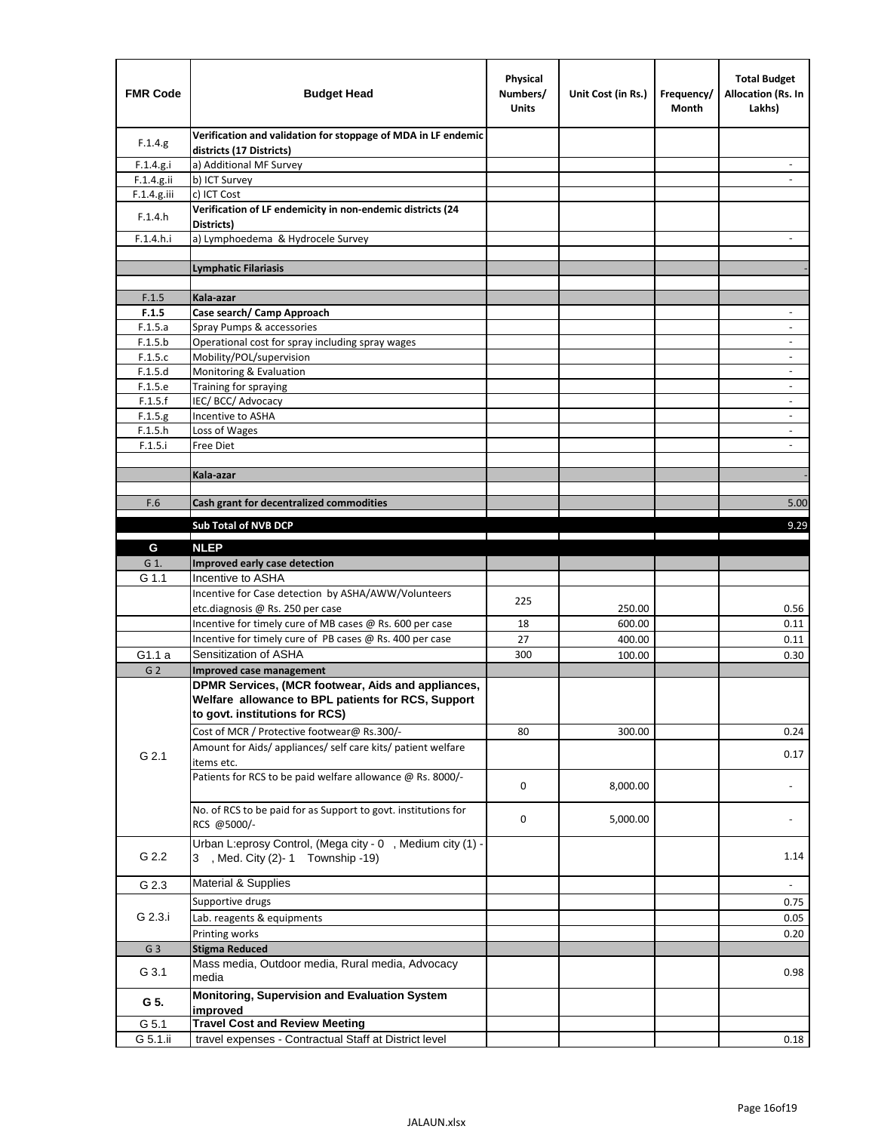| <b>FMR Code</b>    | <b>Budget Head</b>                                                                             | Physical<br>Numbers/<br><b>Units</b> | Unit Cost (in Rs.) | Frequency/<br>Month | <b>Total Budget</b><br>Allocation (Rs. In<br>Lakhs) |
|--------------------|------------------------------------------------------------------------------------------------|--------------------------------------|--------------------|---------------------|-----------------------------------------------------|
| F.1.4.g.           | Verification and validation for stoppage of MDA in LF endemic<br>districts (17 Districts)      |                                      |                    |                     |                                                     |
| F.1.4.g.i          | a) Additional MF Survey                                                                        |                                      |                    |                     |                                                     |
| F.1.4.g.ii         | b) ICT Survey                                                                                  |                                      |                    |                     |                                                     |
| F.1.4.g.iii        | c) ICT Cost                                                                                    |                                      |                    |                     |                                                     |
| F.1.4.h            | Verification of LF endemicity in non-endemic districts (24<br>Districts)                       |                                      |                    |                     |                                                     |
| F.1.4.h.i          | a) Lymphoedema & Hydrocele Survey                                                              |                                      |                    |                     |                                                     |
|                    | <b>Lymphatic Filariasis</b>                                                                    |                                      |                    |                     |                                                     |
|                    |                                                                                                |                                      |                    |                     |                                                     |
| F.1.5              | Kala-azar                                                                                      |                                      |                    |                     |                                                     |
| F.1.5              | Case search/ Camp Approach                                                                     |                                      |                    |                     | $\overline{\phantom{a}}$                            |
| F.1.5.a            | Spray Pumps & accessories                                                                      |                                      |                    |                     |                                                     |
| F.1.5.b            | Operational cost for spray including spray wages                                               |                                      |                    |                     |                                                     |
| F.1.5.c            | Mobility/POL/supervision                                                                       |                                      |                    |                     | $\overline{\phantom{a}}$                            |
| F.1.5.d            | Monitoring & Evaluation                                                                        |                                      |                    |                     |                                                     |
| F.1.5.e            | Training for spraying                                                                          |                                      |                    |                     | $\overline{\phantom{a}}$                            |
| F.1.5.f            | IEC/BCC/Advocacy<br>Incentive to ASHA                                                          |                                      |                    |                     | $\overline{\phantom{a}}$                            |
| F.1.5.g<br>F.1.5.h | Loss of Wages                                                                                  |                                      |                    |                     | $\overline{\phantom{a}}$                            |
| F.1.5.i            | Free Diet                                                                                      |                                      |                    |                     |                                                     |
|                    |                                                                                                |                                      |                    |                     |                                                     |
|                    | Kala-azar                                                                                      |                                      |                    |                     |                                                     |
|                    |                                                                                                |                                      |                    |                     |                                                     |
| F.6                | Cash grant for decentralized commodities                                                       |                                      |                    |                     | 5.00                                                |
|                    | <b>Sub Total of NVB DCP</b>                                                                    |                                      |                    |                     | 9.29                                                |
|                    |                                                                                                |                                      |                    |                     |                                                     |
| G                  | <b>NLEP</b>                                                                                    |                                      |                    |                     |                                                     |
| G 1.               | Improved early case detection<br>Incentive to ASHA                                             |                                      |                    |                     |                                                     |
| G 1.1              | Incentive for Case detection by ASHA/AWW/Volunteers                                            |                                      |                    |                     |                                                     |
|                    | etc.diagnosis @ Rs. 250 per case                                                               | 225                                  | 250.00             |                     | 0.56                                                |
|                    | Incentive for timely cure of MB cases @ Rs. 600 per case                                       | 18                                   | 600.00             |                     | 0.11                                                |
|                    | Incentive for timely cure of PB cases @ Rs. 400 per case                                       | 27                                   | 400.00             |                     | 0.11                                                |
| G1.1 a             | Sensitization of ASHA                                                                          | 300                                  | 100.00             |                     | 0.30                                                |
| G <sub>2</sub>     | <b>Improved case management</b>                                                                |                                      |                    |                     |                                                     |
|                    | DPMR Services, (MCR footwear, Aids and appliances,                                             |                                      |                    |                     |                                                     |
|                    | Welfare allowance to BPL patients for RCS, Support                                             |                                      |                    |                     |                                                     |
|                    | to govt. institutions for RCS)                                                                 |                                      |                    |                     |                                                     |
|                    | Cost of MCR / Protective footwear@ Rs.300/-                                                    | 80                                   | 300.00             |                     | 0.24                                                |
|                    | Amount for Aids/ appliances/ self care kits/ patient welfare                                   |                                      |                    |                     |                                                     |
| G 2.1              | items etc.                                                                                     |                                      |                    |                     | 0.17                                                |
|                    | Patients for RCS to be paid welfare allowance @ Rs. 8000/-                                     | 0                                    | 8,000.00           |                     |                                                     |
|                    | No. of RCS to be paid for as Support to govt. institutions for                                 |                                      |                    |                     |                                                     |
|                    | RCS @5000/-                                                                                    | 0                                    | 5,000.00           |                     |                                                     |
|                    |                                                                                                |                                      |                    |                     |                                                     |
| G 2.2              | Urban L:eprosy Control, (Mega city - 0, Medium city (1) -<br>3 , Med. City (2)-1 Township -19) |                                      |                    |                     | 1.14                                                |
| G 2.3              | <b>Material &amp; Supplies</b>                                                                 |                                      |                    |                     | $\overline{\phantom{a}}$                            |
|                    | Supportive drugs                                                                               |                                      |                    |                     |                                                     |
| G 2.3.i            |                                                                                                |                                      |                    |                     | 0.75                                                |
|                    | Lab. reagents & equipments                                                                     |                                      |                    |                     | 0.05                                                |
|                    | Printing works                                                                                 |                                      |                    |                     | 0.20                                                |
| G <sub>3</sub>     | <b>Stigma Reduced</b><br>Mass media, Outdoor media, Rural media, Advocacy                      |                                      |                    |                     |                                                     |
| G 3.1              | media                                                                                          |                                      |                    |                     | 0.98                                                |
| G 5.               | Monitoring, Supervision and Evaluation System<br>improved                                      |                                      |                    |                     |                                                     |
| G 5.1              | <b>Travel Cost and Review Meeting</b>                                                          |                                      |                    |                     |                                                     |
| G 5.1.ii           | travel expenses - Contractual Staff at District level                                          |                                      |                    |                     | 0.18                                                |
|                    |                                                                                                |                                      |                    |                     |                                                     |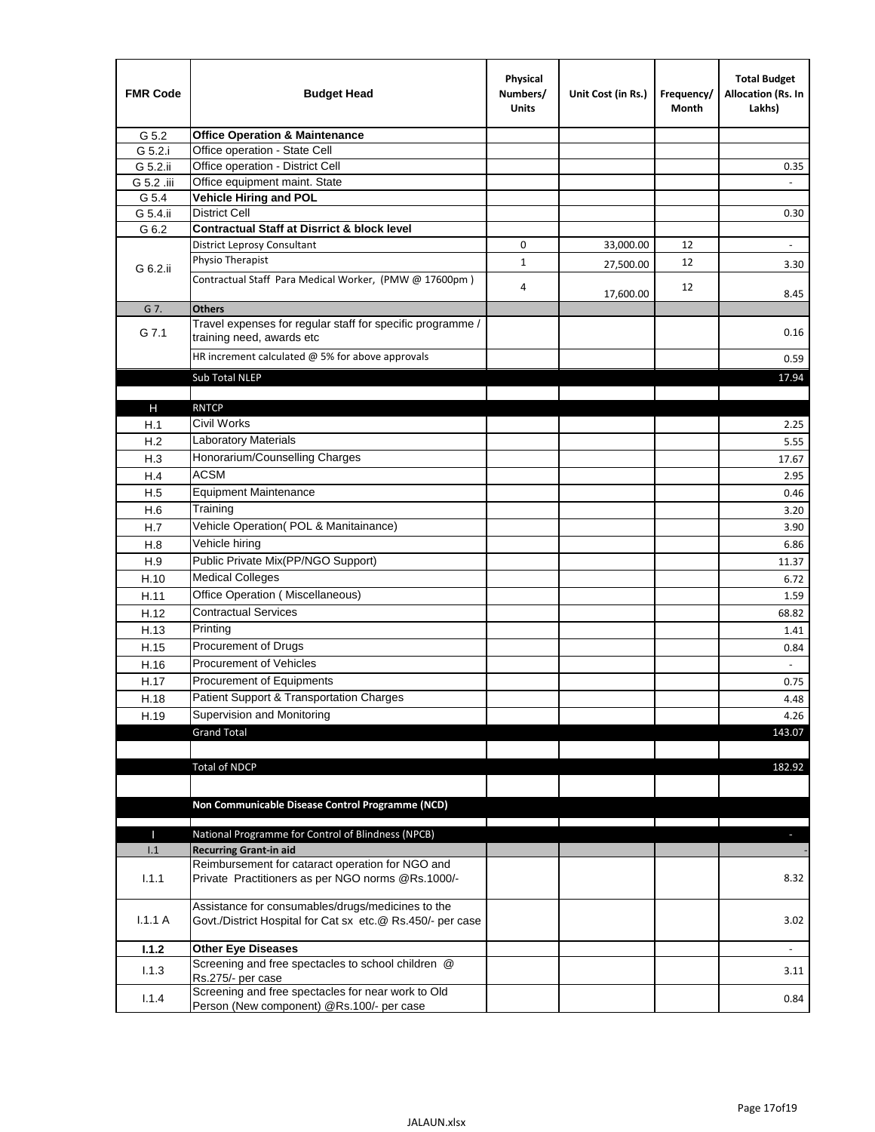| <b>FMR Code</b> | <b>Budget Head</b>                                                                                              | Physical<br>Numbers/<br><b>Units</b> | Unit Cost (in Rs.) | Frequency/<br>Month | <b>Total Budget</b><br>Allocation (Rs. In<br>Lakhs) |
|-----------------|-----------------------------------------------------------------------------------------------------------------|--------------------------------------|--------------------|---------------------|-----------------------------------------------------|
| G 5.2           | <b>Office Operation &amp; Maintenance</b>                                                                       |                                      |                    |                     |                                                     |
| G 5.2.i         | Office operation - State Cell                                                                                   |                                      |                    |                     |                                                     |
| G 5.2.ii        | Office operation - District Cell                                                                                |                                      |                    |                     | 0.35                                                |
| G 5.2 .iii      | Office equipment maint. State                                                                                   |                                      |                    |                     |                                                     |
| G 5.4           | Vehicle Hiring and POL                                                                                          |                                      |                    |                     |                                                     |
| G 5.4.ii        | <b>District Cell</b>                                                                                            |                                      |                    |                     | 0.30                                                |
| G 6.2           | <b>Contractual Staff at Disrrict &amp; block level</b>                                                          |                                      |                    |                     |                                                     |
|                 | <b>District Leprosy Consultant</b>                                                                              | 0                                    | 33,000.00          | 12                  |                                                     |
| G 6.2.ii        | Physio Therapist                                                                                                | $\mathbf{1}$                         | 27,500.00          | 12                  | 3.30                                                |
|                 | Contractual Staff Para Medical Worker, (PMW @ 17600pm)                                                          | 4                                    | 17,600.00          | 12                  | 8.45                                                |
| G 7.            | <b>Others</b>                                                                                                   |                                      |                    |                     |                                                     |
| G 7.1           | Travel expenses for regular staff for specific programme /<br>training need, awards etc                         |                                      |                    |                     | 0.16                                                |
|                 | HR increment calculated $@$ 5% for above approvals                                                              |                                      |                    |                     | 0.59                                                |
|                 | Sub Total NLEP                                                                                                  |                                      |                    |                     | 17.94                                               |
|                 |                                                                                                                 |                                      |                    |                     |                                                     |
| Н               | <b>RNTCP</b>                                                                                                    |                                      |                    |                     |                                                     |
| H.1             | Civil Works                                                                                                     |                                      |                    |                     | 2.25                                                |
| H.2             | Laboratory Materials                                                                                            |                                      |                    |                     | 5.55                                                |
| H.3             | Honorarium/Counselling Charges                                                                                  |                                      |                    |                     | 17.67                                               |
| H.4             | <b>ACSM</b>                                                                                                     |                                      |                    |                     | 2.95                                                |
| H.5             | <b>Equipment Maintenance</b>                                                                                    |                                      |                    |                     | 0.46                                                |
| H.6             | Training                                                                                                        |                                      |                    |                     | 3.20                                                |
| H.7             | Vehicle Operation(POL & Manitainance)                                                                           |                                      |                    |                     | 3.90                                                |
| H.8             | Vehicle hiring                                                                                                  |                                      |                    |                     | 6.86                                                |
| H.9             | Public Private Mix(PP/NGO Support)                                                                              |                                      |                    |                     | 11.37                                               |
| H.10            | <b>Medical Colleges</b>                                                                                         |                                      |                    |                     | 6.72                                                |
| H.11            | Office Operation (Miscellaneous)                                                                                |                                      |                    |                     | 1.59                                                |
| H.12            | <b>Contractual Services</b>                                                                                     |                                      |                    |                     | 68.82                                               |
| H.13            | Printing                                                                                                        |                                      |                    |                     | 1.41                                                |
| H.15            | Procurement of Drugs                                                                                            |                                      |                    |                     | 0.84                                                |
| H.16            | Procurement of Vehicles                                                                                         |                                      |                    |                     | $\sim$                                              |
| H.17            | Procurement of Equipments                                                                                       |                                      |                    |                     | 0.75                                                |
| H.18            | Patient Support & Transportation Charges                                                                        |                                      |                    |                     | 4.48                                                |
| H.19            | Supervision and Monitoring                                                                                      |                                      |                    |                     | 4.26                                                |
|                 | <b>Grand Total</b>                                                                                              |                                      |                    |                     | 143.07                                              |
|                 |                                                                                                                 |                                      |                    |                     |                                                     |
|                 | <b>Total of NDCP</b>                                                                                            |                                      |                    |                     | 182.92                                              |
|                 |                                                                                                                 |                                      |                    |                     |                                                     |
|                 |                                                                                                                 |                                      |                    |                     |                                                     |
|                 | Non Communicable Disease Control Programme (NCD)                                                                |                                      |                    |                     |                                                     |
| Т               | National Programme for Control of Blindness (NPCB)                                                              |                                      |                    |                     | ÷.                                                  |
| 1.1             | <b>Recurring Grant-in aid</b>                                                                                   |                                      |                    |                     |                                                     |
|                 | Reimbursement for cataract operation for NGO and                                                                |                                      |                    |                     |                                                     |
| 1.1.1           | Private Practitioners as per NGO norms @Rs.1000/-                                                               |                                      |                    |                     | 8.32                                                |
| 1.1.1A          | Assistance for consumables/drugs/medicines to the<br>Govt./District Hospital for Cat sx etc.@ Rs.450/- per case |                                      |                    |                     | 3.02                                                |
| 1.1.2           | <b>Other Eye Diseases</b>                                                                                       |                                      |                    |                     |                                                     |
|                 | Screening and free spectacles to school children @                                                              |                                      |                    |                     |                                                     |
| 1.1.3           | Rs.275/- per case                                                                                               |                                      |                    |                     | 3.11                                                |
| 1.1.4           | Screening and free spectacles for near work to Old                                                              |                                      |                    |                     | 0.84                                                |
|                 | Person (New component) @Rs.100/- per case                                                                       |                                      |                    |                     |                                                     |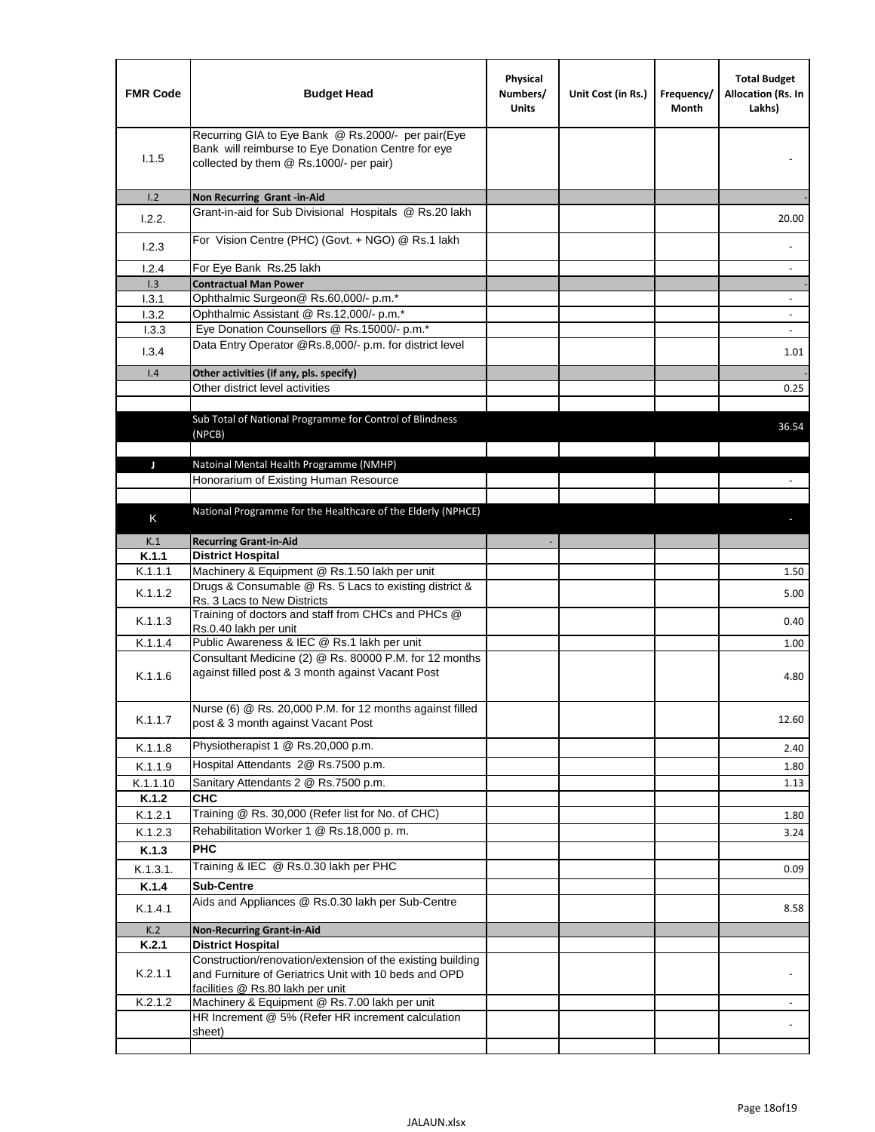| <b>FMR Code</b> | <b>Budget Head</b>                                                                                                                                      | Physical<br>Numbers/<br><b>Units</b> | Unit Cost (in Rs.) | Frequency/<br>Month | <b>Total Budget</b><br>Allocation (Rs. In<br>Lakhs) |
|-----------------|---------------------------------------------------------------------------------------------------------------------------------------------------------|--------------------------------------|--------------------|---------------------|-----------------------------------------------------|
| 1.1.5           | Recurring GIA to Eye Bank @ Rs.2000/- per pair(Eye<br>Bank will reimburse to Eye Donation Centre for eye<br>collected by them @ Rs.1000/- per pair)     |                                      |                    |                     |                                                     |
| 1.2             | Non Recurring Grant -in-Aid                                                                                                                             |                                      |                    |                     |                                                     |
| 1.2.2.          | Grant-in-aid for Sub Divisional Hospitals @ Rs.20 lakh                                                                                                  |                                      |                    |                     | 20.00                                               |
| 1.2.3           | For Vision Centre (PHC) (Govt. + NGO) @ Rs.1 lakh                                                                                                       |                                      |                    |                     |                                                     |
| 1.2.4           | For Eye Bank Rs.25 lakh                                                                                                                                 |                                      |                    |                     | $\blacksquare$                                      |
| 1.3             | <b>Contractual Man Power</b>                                                                                                                            |                                      |                    |                     |                                                     |
| 1.3.1<br>1.3.2  | Ophthalmic Surgeon@ Rs.60,000/- p.m.*<br>Ophthalmic Assistant @ Rs.12,000/- p.m.*                                                                       |                                      |                    |                     |                                                     |
| 1.3.3           | Eye Donation Counsellors @ Rs.15000/- p.m.*                                                                                                             |                                      |                    |                     | $\overline{\phantom{a}}$                            |
|                 | Data Entry Operator @Rs.8,000/- p.m. for district level                                                                                                 |                                      |                    |                     |                                                     |
| 1.3.4           |                                                                                                                                                         |                                      |                    |                     | 1.01                                                |
| 1.4             | Other activities (if any, pls. specify)                                                                                                                 |                                      |                    |                     |                                                     |
|                 | Other district level activities                                                                                                                         |                                      |                    |                     | 0.25                                                |
|                 | Sub Total of National Programme for Control of Blindness<br>(NPCB)                                                                                      |                                      |                    |                     | 36.54                                               |
|                 | Natoinal Mental Health Programme (NMHP)                                                                                                                 |                                      |                    |                     |                                                     |
| J               | Honorarium of Existing Human Resource                                                                                                                   |                                      |                    |                     |                                                     |
|                 |                                                                                                                                                         |                                      |                    |                     |                                                     |
|                 | National Programme for the Healthcare of the Elderly (NPHCE)                                                                                            |                                      |                    |                     |                                                     |
| K               |                                                                                                                                                         |                                      |                    |                     |                                                     |
| K.1             | <b>Recurring Grant-in-Aid</b>                                                                                                                           |                                      |                    |                     |                                                     |
| K.1.1           | <b>District Hospital</b>                                                                                                                                |                                      |                    |                     |                                                     |
| K.1.1.1         | Machinery & Equipment @ Rs.1.50 lakh per unit                                                                                                           |                                      |                    |                     | 1.50                                                |
| K.1.1.2         | Drugs & Consumable @ Rs. 5 Lacs to existing district &<br>Rs. 3 Lacs to New Districts                                                                   |                                      |                    |                     | 5.00                                                |
| K.1.1.3         | Training of doctors and staff from CHCs and PHCs @<br>Rs.0.40 lakh per unit                                                                             |                                      |                    |                     | 0.40                                                |
| K.1.1.4         | Public Awareness & IEC @ Rs.1 lakh per unit                                                                                                             |                                      |                    |                     | 1.00                                                |
| K.1.1.6         | Consultant Medicine (2) @ Rs. 80000 P.M. for 12 months<br>against filled post & 3 month against Vacant Post                                             |                                      |                    |                     | 4.80                                                |
| K.1.1.7         | Nurse (6) @ Rs. 20,000 P.M. for 12 months against filled<br>post & 3 month against Vacant Post                                                          |                                      |                    |                     | 12.60                                               |
| K.1.1.8         | Physiotherapist 1 @ Rs.20,000 p.m.                                                                                                                      |                                      |                    |                     | 2.40                                                |
| K.1.1.9         | Hospital Attendants 2@ Rs.7500 p.m.                                                                                                                     |                                      |                    |                     | 1.80                                                |
| K.1.1.10        | Sanitary Attendants 2 @ Rs.7500 p.m.                                                                                                                    |                                      |                    |                     | 1.13                                                |
| K.1.2           | <b>CHC</b>                                                                                                                                              |                                      |                    |                     |                                                     |
| K.1.2.1         | Training @ Rs. 30,000 (Refer list for No. of CHC)                                                                                                       |                                      |                    |                     | 1.80                                                |
| K.1.2.3         | Rehabilitation Worker 1 @ Rs.18,000 p.m.                                                                                                                |                                      |                    |                     | 3.24                                                |
| K.1.3           | <b>PHC</b>                                                                                                                                              |                                      |                    |                     |                                                     |
| K.1.3.1.        | Training & IEC @ Rs.0.30 lakh per PHC                                                                                                                   |                                      |                    |                     | 0.09                                                |
| K.1.4           | <b>Sub-Centre</b>                                                                                                                                       |                                      |                    |                     |                                                     |
| K.1.4.1         | Aids and Appliances @ Rs.0.30 lakh per Sub-Centre                                                                                                       |                                      |                    |                     | 8.58                                                |
| K.2             | <b>Non-Recurring Grant-in-Aid</b>                                                                                                                       |                                      |                    |                     |                                                     |
| K.2.1           | <b>District Hospital</b>                                                                                                                                |                                      |                    |                     |                                                     |
| K.2.1.1         | Construction/renovation/extension of the existing building<br>and Furniture of Geriatrics Unit with 10 beds and OPD<br>facilities @ Rs.80 lakh per unit |                                      |                    |                     |                                                     |
| K.2.1.2         | Machinery & Equipment @ Rs.7.00 lakh per unit                                                                                                           |                                      |                    |                     |                                                     |
|                 | HR Increment @ 5% (Refer HR increment calculation                                                                                                       |                                      |                    |                     |                                                     |
|                 | sheet)                                                                                                                                                  |                                      |                    |                     |                                                     |